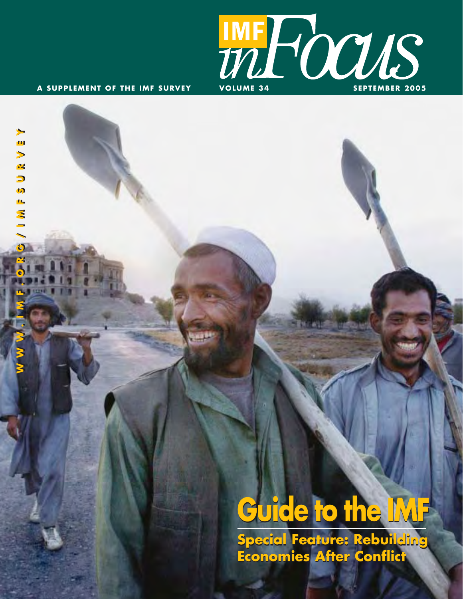

**N N N N N H N H N D N O N O N O N H N H N N N N** 

m

 $\mathbf{r}$  $\overline{\mathbf{D}}$ n ò, Ź

# **Guide to the IMF**

**Special Feature: Rebuilding Economies After Conflict Economies After Conflict**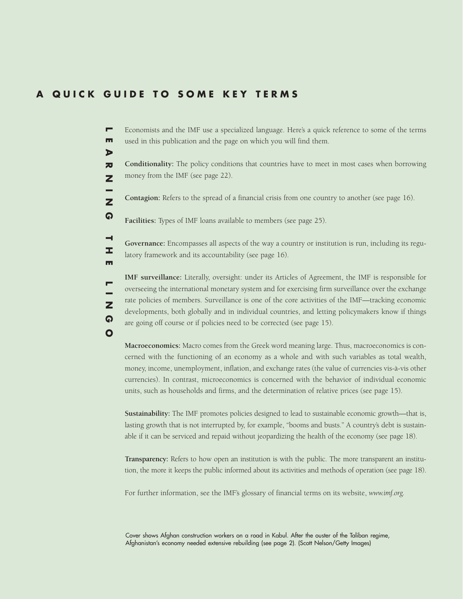#### **A QUICK GUIDE TO SOME KEY TERMS**

 $\triangleright$ 

н x. m

 $\overline{z}$ <u>କ</u>  $\mathbf{o}$ 

Economists and the IMF use a specialized language. Here's a quick reference to some of the terms Е **LEARNING THE LINGO** m used in this publication and the page on which you will find them.

**Conditionality:** The policy conditions that countries have to meet in most cases when borrowing  $\overline{z}$ money from the IMF (see page 22).  $\overline{z}$ 

**Contagion:** Refers to the spread of a financial crisis from one country to another (see page 16).  $\overline{\mathbf{z}}$ 

<u>ດ</u> **Facilities:** Types of IMF loans available to members (see page 25).

**Governance:** Encompasses all aspects of the way a country or institution is run, including its regulatory framework and its accountability (see page 16).

**IMF surveillance:** Literally, oversight: under its Articles of Agreement, the IMF is responsible for overseeing the international monetary system and for exercising firm surveillance over the exchange rate policies of members. Surveillance is one of the core activities of the IMF—tracking economic developments, both globally and in individual countries, and letting policymakers know if things are going off course or if policies need to be corrected (see page 15).

**Macroeconomics:** Macro comes from the Greek word meaning large. Thus, macroeconomics is concerned with the functioning of an economy as a whole and with such variables as total wealth, money, income, unemployment, inflation, and exchange rates (the value of currencies vis-à-vis other currencies). In contrast, microeconomics is concerned with the behavior of individual economic units, such as households and firms, and the determination of relative prices (see page 15).

**Sustainability:** The IMF promotes policies designed to lead to sustainable economic growth—that is, lasting growth that is not interrupted by, for example, "booms and busts." A country's debt is sustainable if it can be serviced and repaid without jeopardizing the health of the economy (see page 18).

**Transparency:** Refers to how open an institution is with the public. The more transparent an institution, the more it keeps the public informed about its activities and methods of operation (see page 18).

For further information, see the IMF's glossary of financial terms on its website, *www.imf.org.*

Cover shows Afghan construction workers on a road in Kabul. After the ouster of the Taliban regime, Afghanistan's economy needed extensive rebuilding (see page 2). (Scott Nelson/Getty Images)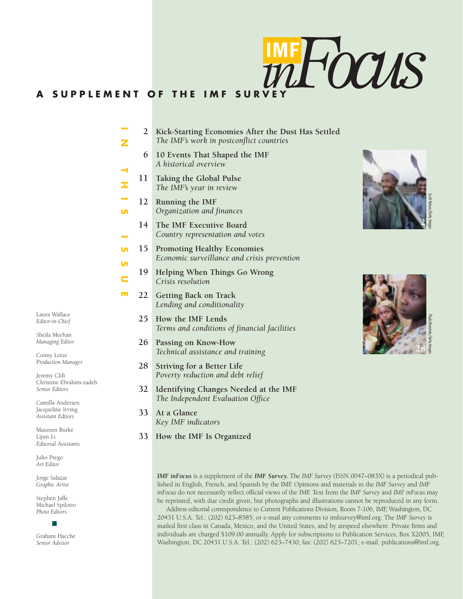

### **A SUPPLEMENT OF THE IMF SURV**

| Ζ                           | $\overline{2}$ | Kick-Starting Economies After the Dust Has Settled<br>The IMF's work in postconflict countries |  |  |  |  |
|-----------------------------|----------------|------------------------------------------------------------------------------------------------|--|--|--|--|
|                             | 6              | 10 Events That Shaped the IMF<br>A historical overview                                         |  |  |  |  |
| н<br>I                      | 11             | Taking the Global Pulse<br>The IMF's year in review                                            |  |  |  |  |
| e.<br><b>In</b>             | 12             | Running the IMF<br>Organization and finances                                                   |  |  |  |  |
| <b>Contract</b>             | 14             | The IMF Executive Board<br>Country representation and votes                                    |  |  |  |  |
| S                           | 15             | <b>Promoting Healthy Economies</b><br>Economic surveillance and crisis prevention              |  |  |  |  |
| <b>In</b><br>$\blacksquare$ | 19             | Helping When Things Go Wrong<br>Crisis resolution                                              |  |  |  |  |
| h n                         | 22             | <b>Getting Back on Track</b><br>Lending and conditionality                                     |  |  |  |  |
|                             | 25             | How the IMF Lends<br>Terms and conditions of financial facilities                              |  |  |  |  |
|                             | 26             | Passing on Know-How<br>Technical assistance and training                                       |  |  |  |  |
|                             | 28             | <b>Striving for a Better Life</b><br>Poverty reduction and debt relief                         |  |  |  |  |
|                             | 32             | Identifying Changes Needed at the IMF<br>The Independent Evaluation Office                     |  |  |  |  |
|                             | 33             | At a Glance<br>Key IMF indicators                                                              |  |  |  |  |
|                             | 33             | How the IMF Is Organized                                                                       |  |  |  |  |
|                             |                |                                                                                                |  |  |  |  |





*IMF inFocus* is a supplement of the *IMF Survey.* The *IMF Survey* (ISSN 0047–083X) is a periodical published in English, French, and Spanish by the IMF. Opinions and materials in the *IMF Survey* and *IMF inFocus* do not necessarily reflect official views of the IMF. Text from the *IMF Survey* and *IMF inFocus* may be reprinted, with due credit given, but photographs and illustrations cannot be reproduced in any form.

Address editorial correspondence to Current Publications Division, Room 7-106, IMF, Washington, DC 20431 U.S.A. Tel.: (202) 623–8585; or e-mail any comments to imfsurvey@imf.org. The *IMF Survey* is mailed first class in Canada, Mexico, and the United States, and by airspeed elsewhere. Private firms and individuals are charged \$109.00 annually. Apply for subscriptions to Publication Services, Box X2005, IMF, Washington, DC 20431 U.S.A. Tel.: (202) 623–7430; fax: (202) 623–7201; e-mail: publications@imf.org.

Laura Wallace *Editor-in-Chief*

Sheila Meehan *Managing Editor*

Conny Lotze *Production Manager*

Jeremy Clift Christine Ebrahim-zadeh *Senior Editors*

Camilla Andersen Jacqueline Irving *Assistant Editors*

Maureen Burke Lijun Li *Editorial Assistants*

Julio Prego *Art Editor*

Jorge Salazar *Graphic Artist*

Stephen Jaffe Michael Spilotro *Photo Editors*

Graham Hacche *Senior Advisor*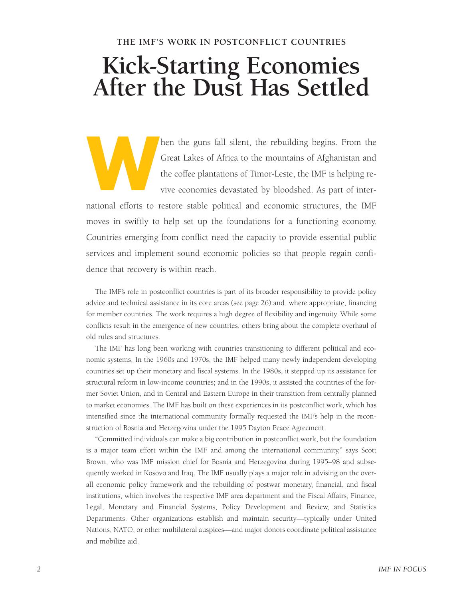#### **THE IMF'S WORK IN POSTCONFLICT COUNTRIES**

## **Kick-Starting Economies After the Dust Has Settled**

hen the guns fall silent, the rebuilding begins. From the Great Lakes of Africa to the mountains of Afghanistan and the coffee plantations of Timor-Leste, the IMF is helping revive economies devastated by bloodshed. As part of inter-**W**

national efforts to restore stable political and economic structures, the IMF moves in swiftly to help set up the foundations for a functioning economy. Countries emerging from conflict need the capacity to provide essential public services and implement sound economic policies so that people regain confidence that recovery is within reach.

The IMF's role in postconflict countries is part of its broader responsibility to provide policy advice and technical assistance in its core areas (see page 26) and, where appropriate, financing for member countries. The work requires a high degree of flexibility and ingenuity. While some conflicts result in the emergence of new countries, others bring about the complete overhaul of old rules and structures.

The IMF has long been working with countries transitioning to different political and economic systems. In the 1960s and 1970s, the IMF helped many newly independent developing countries set up their monetary and fiscal systems. In the 1980s, it stepped up its assistance for structural reform in low-income countries; and in the 1990s, it assisted the countries of the former Soviet Union, and in Central and Eastern Europe in their transition from centrally planned to market economies. The IMF has built on these experiences in its postconflict work, which has intensified since the international community formally requested the IMF's help in the reconstruction of Bosnia and Herzegovina under the 1995 Dayton Peace Agreement.

"Committed individuals can make a big contribution in postconflict work, but the foundation is a major team effort within the IMF and among the international community," says Scott Brown, who was IMF mission chief for Bosnia and Herzegovina during 1995–98 and subsequently worked in Kosovo and Iraq. The IMF usually plays a major role in advising on the overall economic policy framework and the rebuilding of postwar monetary, financial, and fiscal institutions, which involves the respective IMF area department and the Fiscal Affairs, Finance, Legal, Monetary and Financial Systems, Policy Development and Review, and Statistics Departments. Other organizations establish and maintain security—typically under United Nations, NATO, or other multilateral auspices—and major donors coordinate political assistance and mobilize aid.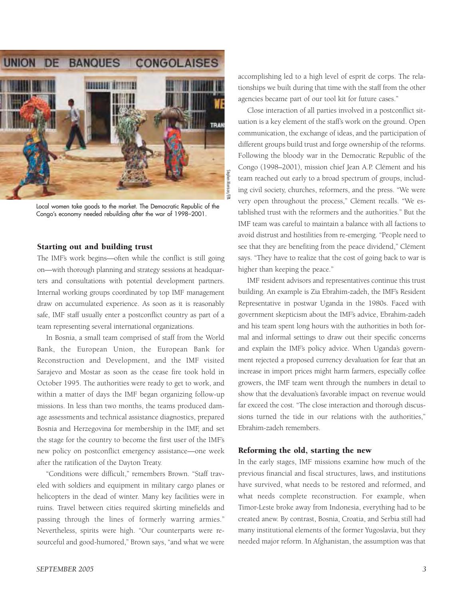

Local women take goods to the market. The Democratic Republic of the Congo's economy needed rebuilding after the war of 1998–2001.

#### Starting out and building trust

The IMF's work begins—often while the conflict is still going on—with thorough planning and strategy sessions at headquarters and consultations with potential development partners. Internal working groups coordinated by top IMF management draw on accumulated experience. As soon as it is reasonably safe, IMF staff usually enter a postconflict country as part of a team representing several international organizations.

In Bosnia, a small team comprised of staff from the World Bank, the European Union, the European Bank for Reconstruction and Development, and the IMF visited Sarajevo and Mostar as soon as the cease fire took hold in October 1995. The authorities were ready to get to work, and within a matter of days the IMF began organizing follow-up missions. In less than two months, the teams produced damage assessments and technical assistance diagnostics, prepared Bosnia and Herzegovina for membership in the IMF, and set the stage for the country to become the first user of the IMF's new policy on postconflict emergency assistance—one week after the ratification of the Dayton Treaty.

"Conditions were difficult," remembers Brown. "Staff traveled with soldiers and equipment in military cargo planes or helicopters in the dead of winter. Many key facilities were in ruins. Travel between cities required skirting minefields and passing through the lines of formerly warring armies." Nevertheless, spirits were high. "Our counterparts were resourceful and good-humored," Brown says, "and what we were

accomplishing led to a high level of esprit de corps. The relationships we built during that time with the staff from the other agencies became part of our tool kit for future cases."

Close interaction of all parties involved in a postconflict situation is a key element of the staff's work on the ground. Open communication, the exchange of ideas, and the participation of different groups build trust and forge ownership of the reforms. Following the bloody war in the Democratic Republic of the Congo (1998–2001), mission chief Jean A.P. Clément and his team reached out early to a broad spectrum of groups, including civil society, churches, reformers, and the press. "We were very open throughout the process," Clément recalls. "We established trust with the reformers and the authorities." But the IMF team was careful to maintain a balance with all factions to avoid distrust and hostilities from re-emerging. "People need to see that they are benefiting from the peace dividend," Clément says. "They have to realize that the cost of going back to war is higher than keeping the peace."

IMF resident advisors and representatives continue this trust building. An example is Zia Ebrahim-zadeh, the IMF's Resident Representative in postwar Uganda in the 1980s. Faced with government skepticism about the IMF's advice, Ebrahim-zadeh and his team spent long hours with the authorities in both formal and informal settings to draw out their specific concerns and explain the IMF's policy advice. When Uganda's government rejected a proposed currency devaluation for fear that an increase in import prices might harm farmers, especially coffee growers, the IMF team went through the numbers in detail to show that the devaluation's favorable impact on revenue would far exceed the cost. "The close interaction and thorough discussions turned the tide in our relations with the authorities," Ebrahim-zadeh remembers.

#### Reforming the old, starting the new

In the early stages, IMF missions examine how much of the previous financial and fiscal structures, laws, and institutions have survived, what needs to be restored and reformed, and what needs complete reconstruction. For example, when Timor-Leste broke away from Indonesia, everything had to be created anew. By contrast, Bosnia, Croatia, and Serbia still had many institutional elements of the former Yugoslavia, but they needed major reform. In Afghanistan, the assumption was that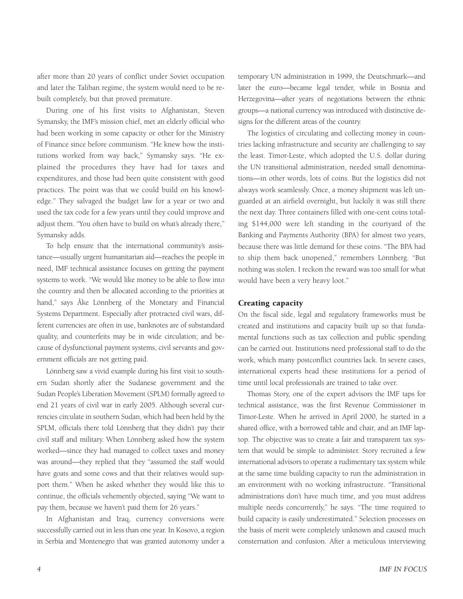after more than 20 years of conflict under Soviet occupation and later the Taliban regime, the system would need to be rebuilt completely, but that proved premature.

During one of his first visits to Afghanistan, Steven Symansky, the IMF's mission chief, met an elderly official who had been working in some capacity or other for the Ministry of Finance since before communism. "He knew how the institutions worked from way back," Symansky says. "He explained the procedures they have had for taxes and expenditures, and those had been quite consistent with good practices. The point was that we could build on his knowledge." They salvaged the budget law for a year or two and used the tax code for a few years until they could improve and adjust them. "You often have to build on what's already there," Symansky adds.

To help ensure that the international community's assistance—usually urgent humanitarian aid—reaches the people in need, IMF technical assistance focuses on getting the payment systems to work. "We would like money to be able to flow into the country and then be allocated according to the priorities at hand," says Åke Lönnberg of the Monetary and Financial Systems Department. Especially after protracted civil wars, different currencies are often in use, banknotes are of substandard quality, and counterfeits may be in wide circulation; and because of dysfunctional payment systems, civil servants and government officials are not getting paid.

Lönnberg saw a vivid example during his first visit to southern Sudan shortly after the Sudanese government and the Sudan People's Liberation Movement (SPLM) formally agreed to end 21 years of civil war in early 2005. Although several currencies circulate in southern Sudan, which had been held by the SPLM, officials there told Lönnberg that they didn't pay their civil staff and military. When Lönnberg asked how the system worked—since they had managed to collect taxes and money was around—they replied that they "assumed the staff would have goats and some cows and that their relatives would support them." When he asked whether they would like this to continue, the officials vehemently objected, saying "We want to pay them, because we haven't paid them for 26 years."

In Afghanistan and Iraq, currency conversions were successfully carried out in less than one year. In Kosovo, a region in Serbia and Montenegro that was granted autonomy under a temporary UN administration in 1999, the Deutschmark—and later the euro—became legal tender, while in Bosnia and Herzegovina—after years of negotiations between the ethnic groups—a national currency was introduced with distinctive designs for the different areas of the country.

The logistics of circulating and collecting money in countries lacking infrastructure and security are challenging to say the least. Timor-Leste, which adopted the U.S. dollar during the UN transitional administration, needed small denominations—in other words, lots of coins. But the logistics did not always work seamlessly. Once, a money shipment was left unguarded at an airfield overnight, but luckily it was still there the next day. Three containers filled with one-cent coins totaling \$144,000 were left standing in the courtyard of the Banking and Payments Authority (BPA) for almost two years, because there was little demand for these coins. "The BPA had to ship them back unopened," remembers Lönnberg. "But nothing was stolen. I reckon the reward was too small for what would have been a very heavy loot."

#### Creating capacity

On the fiscal side, legal and regulatory frameworks must be created and institutions and capacity built up so that fundamental functions such as tax collection and public spending can be carried out. Institutions need professional staff to do the work, which many postconflict countries lack. In severe cases, international experts head these institutions for a period of time until local professionals are trained to take over.

Thomas Story, one of the expert advisors the IMF taps for technical assistance, was the first Revenue Commissioner in Timor-Leste. When he arrived in April 2000, he started in a shared office, with a borrowed table and chair, and an IMF laptop. The objective was to create a fair and transparent tax system that would be simple to administer. Story recruited a few international advisors to operate a rudimentary tax system while at the same time building capacity to run the administration in an environment with no working infrastructure. "Transitional administrations don't have much time, and you must address multiple needs concurrently," he says. "The time required to build capacity is easily underestimated." Selection processes on the basis of merit were completely unknown and caused much consternation and confusion. After a meticulous interviewing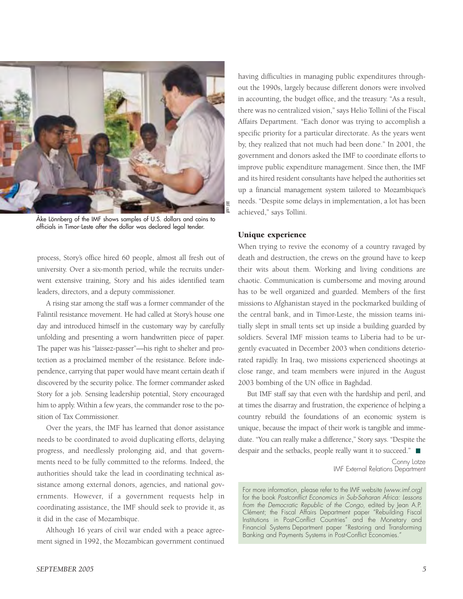

Åke Lönnberg of the IMF shows samples of U.S. dollars and coins to officials in Timor-Leste after the dollar was declared legal tender.

process, Story's office hired 60 people, almost all fresh out of university. Over a six-month period, while the recruits underwent extensive training, Story and his aides identified team leaders, directors, and a deputy commissioner.

A rising star among the staff was a former commander of the Falintil resistance movement. He had called at Story's house one day and introduced himself in the customary way by carefully unfolding and presenting a worn handwritten piece of paper. The paper was his "laissez-passer"—his right to shelter and protection as a proclaimed member of the resistance. Before independence, carrying that paper would have meant certain death if discovered by the security police. The former commander asked Story for a job. Sensing leadership potential, Story encouraged him to apply. Within a few years, the commander rose to the position of Tax Commissioner.

Over the years, the IMF has learned that donor assistance needs to be coordinated to avoid duplicating efforts, delaying progress, and needlessly prolonging aid, and that governments need to be fully committed to the reforms. Indeed, the authorities should take the lead in coordinating technical assistance among external donors, agencies, and national governments. However, if a government requests help in coordinating assistance, the IMF should seek to provide it, as it did in the case of Mozambique.

Although 16 years of civil war ended with a peace agreement signed in 1992, the Mozambican government continued having difficulties in managing public expenditures throughout the 1990s, largely because different donors were involved in accounting, the budget office, and the treasury. "As a result, there was no centralized vision," says Helio Tollini of the Fiscal Affairs Department. "Each donor was trying to accomplish a specific priority for a particular directorate. As the years went by, they realized that not much had been done." In 2001, the government and donors asked the IMF to coordinate efforts to improve public expenditure management. Since then, the IMF and its hired resident consultants have helped the authorities set up a financial management system tailored to Mozambique's needs. "Despite some delays in implementation, a lot has been achieved," says Tollini.

#### Unique experience

When trying to revive the economy of a country ravaged by death and destruction, the crews on the ground have to keep their wits about them. Working and living conditions are chaotic. Communication is cumbersome and moving around has to be well organized and guarded. Members of the first missions to Afghanistan stayed in the pockmarked building of the central bank, and in Timor-Leste, the mission teams initially slept in small tents set up inside a building guarded by soldiers. Several IMF mission teams to Liberia had to be urgently evacuated in December 2003 when conditions deteriorated rapidly. In Iraq, two missions experienced shootings at close range, and team members were injured in the August 2003 bombing of the UN office in Baghdad.

But IMF staff say that even with the hardship and peril, and at times the disarray and frustration, the experience of helping a country rebuild the foundations of an economic system is unique, because the impact of their work is tangible and immediate. "You can really make a difference," Story says. "Despite the despair and the setbacks, people really want it to succeed."

> Conny Lotze IMF External Relations Department

For more information, please refer to the IMF website *(www.imf.org)* for the book *Postconflict Economics in Sub-Saharan Africa: Lessons from the Democratic Republic of the Congo,* edited by Jean A.P. Clément; the Fiscal Affairs Department paper "Rebuilding Fiscal Institutions in Post-Conflict Countries" and the Monetary and Financial Systems Department paper "Restoring and Transforming Banking and Payments Systems in Post-Conflict Economies."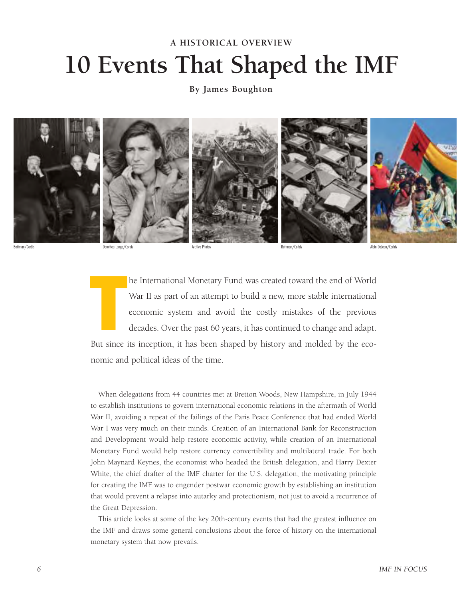## **10 Events That Shaped the IMF A HISTORICAL OVERVIEW**

**By James Boughton**



Bettman/Corbis Dorothea Lange/Corbis Archive Photos Bettman/Corbis Alain DeJean/Corbis

he International Monetary Fund was created toward the end of World War II as part of an attempt to build a new, more stable international economic system and avoid the costly mistakes of the previous decades. Over the past 60 years, it has continued to change and adapt. But since its inception, it has been shaped by history and molded by the eco-<br>But since its inception, it has been shaped by history and molded by the eco-

nomic and political ideas of the time.

When delegations from 44 countries met at Bretton Woods, New Hampshire, in July 1944 to establish institutions to govern international economic relations in the aftermath of World War II, avoiding a repeat of the failings of the Paris Peace Conference that had ended World War I was very much on their minds. Creation of an International Bank for Reconstruction and Development would help restore economic activity, while creation of an International Monetary Fund would help restore currency convertibility and multilateral trade. For both John Maynard Keynes, the economist who headed the British delegation, and Harry Dexter White, the chief drafter of the IMF charter for the U.S. delegation, the motivating principle for creating the IMF was to engender postwar economic growth by establishing an institution that would prevent a relapse into autarky and protectionism, not just to avoid a recurrence of the Great Depression.

This article looks at some of the key 20th-century events that had the greatest influence on the IMF and draws some general conclusions about the force of history on the international monetary system that now prevails.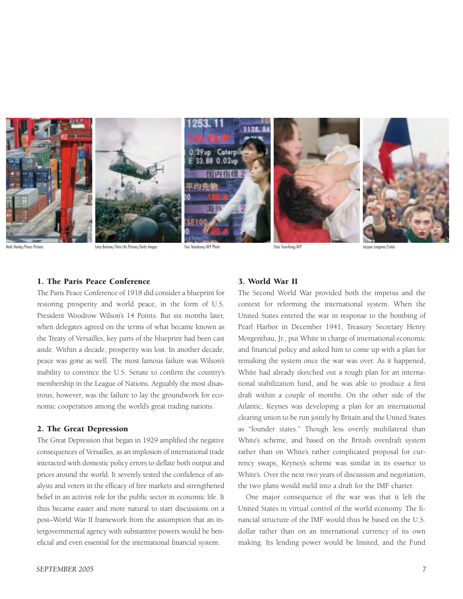

Mark Henley/Panos Pictures Larry Burrows/Time Life Pictures/Getty Images Toru Yamakana/AFP Photo Choo Youn-Kong/AFP Jacques Langevin/Corbis

#### 1. The Paris Peace Conference

The Paris Peace Conference of 1918 did consider a blueprint for restoring prosperity and world peace, in the form of U.S. President Woodrow Wilson's 14 Points. But six months later, when delegates agreed on the terms of what became known as the Treaty of Versailles, key parts of the blueprint had been cast aside. Within a decade, prosperity was lost. In another decade, peace was gone as well. The most famous failure was Wilson's inability to convince the U.S. Senate to confirm the country's membership in the League of Nations. Arguably the most disastrous, however, was the failure to lay the groundwork for economic cooperation among the world's great trading nations.

#### 2. The Great Depression

The Great Depression that began in 1929 amplified the negative consequences of Versailles, as an implosion of international trade interacted with domestic policy errors to deflate both output and prices around the world. It severely tested the confidence of analysts and voters in the efficacy of free markets and strengthened belief in an activist role for the public sector in economic life. It thus became easier and more natural to start discussions on a post–World War II framework from the assumption that an intergovernmental agency with substantive powers would be beneficial and even essential for the international financial system.

#### 3. World War II

The Second World War provided both the impetus and the context for reforming the international system. When the United States entered the war in response to the bombing of Pearl Harbor in December 1941, Treasury Secretary Henry Morgenthau, Jr., put White in charge of international economic and financial policy and asked him to come up with a plan for remaking the system once the war was over. As it happened, White had already sketched out a rough plan for an international stabilization fund, and he was able to produce a first draft within a couple of months. On the other side of the Atlantic, Keynes was developing a plan for an international clearing union to be run jointly by Britain and the United States as "founder states." Though less overtly multilateral than White's scheme, and based on the British overdraft system rather than on White's rather complicated proposal for currency swaps, Keynes's scheme was similar in its essence to White's. Over the next two years of discussion and negotiation, the two plans would meld into a draft for the IMF charter.

One major consequence of the war was that it left the United States in virtual control of the world economy. The financial structure of the IMF would thus be based on the U.S. dollar rather than on an international currency of its own making. Its lending power would be limited, and the Fund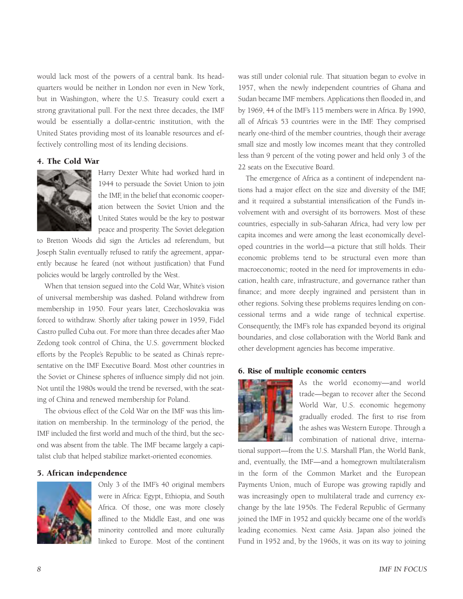would lack most of the powers of a central bank. Its headquarters would be neither in London nor even in New York, but in Washington, where the U.S. Treasury could exert a strong gravitational pull. For the next three decades, the IMF would be essentially a dollar-centric institution, with the United States providing most of its loanable resources and effectively controlling most of its lending decisions.

#### 4. The Cold War



Harry Dexter White had worked hard in 1944 to persuade the Soviet Union to join the IMF, in the belief that economic cooperation between the Soviet Union and the United States would be the key to postwar peace and prosperity. The Soviet delegation

to Bretton Woods did sign the Articles ad referendum, but Joseph Stalin eventually refused to ratify the agreement, apparently because he feared (not without justification) that Fund policies would be largely controlled by the West.

When that tension segued into the Cold War, White's vision of universal membership was dashed. Poland withdrew from membership in 1950. Four years later, Czechoslovakia was forced to withdraw. Shortly after taking power in 1959, Fidel Castro pulled Cuba out. For more than three decades after Mao Zedong took control of China, the U.S. government blocked efforts by the People's Republic to be seated as China's representative on the IMF Executive Board. Most other countries in the Soviet or Chinese spheres of influence simply did not join. Not until the 1980s would the trend be reversed, with the seating of China and renewed membership for Poland.

The obvious effect of the Cold War on the IMF was this limitation on membership. In the terminology of the period, the IMF included the first world and much of the third, but the second was absent from the table. The IMF became largely a capitalist club that helped stabilize market-oriented economies.

#### 5. African independence



Only 3 of the IMF's 40 original members were in Africa: Egypt, Ethiopia, and South Africa. Of those, one was more closely affined to the Middle East, and one was minority controlled and more culturally linked to Europe. Most of the continent

was still under colonial rule. That situation began to evolve in 1957, when the newly independent countries of Ghana and Sudan became IMF members. Applications then flooded in, and by 1969, 44 of the IMF's 115 members were in Africa. By 1990, all of Africa's 53 countries were in the IMF. They comprised nearly one-third of the member countries, though their average small size and mostly low incomes meant that they controlled less than 9 percent of the voting power and held only 3 of the 22 seats on the Executive Board.

The emergence of Africa as a continent of independent nations had a major effect on the size and diversity of the IMF, and it required a substantial intensification of the Fund's involvement with and oversight of its borrowers. Most of these countries, especially in sub-Saharan Africa, had very low per capita incomes and were among the least economically developed countries in the world—a picture that still holds. Their economic problems tend to be structural even more than macroeconomic; rooted in the need for improvements in education, health care, infrastructure, and governance rather than finance; and more deeply ingrained and persistent than in other regions. Solving these problems requires lending on concessional terms and a wide range of technical expertise. Consequently, the IMF's role has expanded beyond its original boundaries, and close collaboration with the World Bank and other development agencies has become imperative.

#### 6. Rise of multiple economic centers



As the world economy—and world trade—began to recover after the Second World War, U.S. economic hegemony gradually eroded. The first to rise from the ashes was Western Europe. Through a combination of national drive, interna-

tional support—from the U.S. Marshall Plan, the World Bank, and, eventually, the IMF—and a homegrown multilateralism in the form of the Common Market and the European Payments Union, much of Europe was growing rapidly and was increasingly open to multilateral trade and currency exchange by the late 1950s. The Federal Republic of Germany joined the IMF in 1952 and quickly became one of the world's leading economies. Next came Asia. Japan also joined the Fund in 1952 and, by the 1960s, it was on its way to joining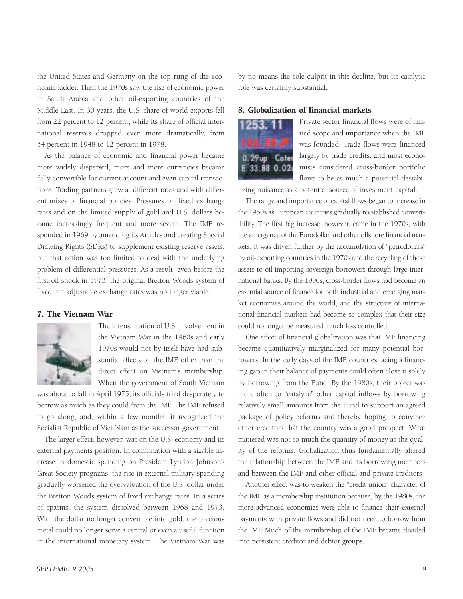the United States and Germany on the top rung of the economic ladder. Then the 1970s saw the rise of economic power in Saudi Arabia and other oil-exporting countries of the Middle East. In 30 years, the U.S. share of world exports fell from 22 percent to 12 percent, while its share of official international reserves dropped even more dramatically, from 54 percent in 1948 to 12 percent in 1978.

As the balance of economic and financial power became more widely dispersed, more and more currencies became fully convertible for current account and even capital transactions. Trading partners grew at different rates and with different mixes of financial policies. Pressures on fixed exchange rates and on the limited supply of gold and U.S. dollars became increasingly frequent and more severe. The IMF responded in 1969 by amending its Articles and creating Special Drawing Rights (SDRs) to supplement existing reserve assets, but that action was too limited to deal with the underlying problem of differential pressures. As a result, even before the first oil shock in 1973, the original Bretton Woods system of fixed but adjustable exchange rates was no longer viable.

#### 7. The Vietnam War



The intensification of U.S. involvement in the Vietnam War in the 1960s and early 1970s would not by itself have had substantial effects on the IMF, other than the direct effect on Vietnam's membership. When the government of South Vietnam

was about to fall in April 1975, its officials tried desperately to borrow as much as they could from the IMF. The IMF refused to go along, and, within a few months, it recognized the Socialist Republic of Viet Nam as the successor government.

The larger effect, however, was on the U.S. economy and its external payments position. In combination with a sizable increase in domestic spending on President Lyndon Johnson's Great Society programs, the rise in external military spending gradually worsened the overvaluation of the U.S. dollar under the Bretton Woods system of fixed exchange rates. In a series of spasms, the system dissolved between 1968 and 1973. With the dollar no longer convertible into gold, the precious metal could no longer serve a central or even a useful function in the international monetary system. The Vietnam War was

by no means the sole culprit in this decline, but its catalytic role was certainly substantial.

#### 8. Globalization of financial markets



Private sector financial flows were of limited scope and importance when the IMF was founded. Trade flows were financed largely by trade credits, and most economists considered cross-border portfolio flows to be as much a potential destabi-

lizing nuisance as a potential source of investment capital.

The range and importance of capital flows began to increase in the 1950s as European countries gradually reestablished convertibility. The first big increase, however, came in the 1970s, with the emergence of the Eurodollar and other offshore financial markets. It was driven further by the accumulation of "petrodollars" by oil-exporting countries in the 1970s and the recycling of those assets to oil-importing sovereign borrowers through large international banks. By the 1990s, cross-border flows had become an essential source of finance for both industrial and emerging market economies around the world, and the structure of international financial markets had become so complex that their size could no longer be measured, much less controlled.

One effect of financial globalization was that IMF financing became quantitatively marginalized for many potential borrowers. In the early days of the IMF, countries facing a financing gap in their balance of payments could often close it solely by borrowing from the Fund. By the 1980s, their object was more often to "catalyze" other capital inflows by borrowing relatively small amounts from the Fund to support an agreed package of policy reforms and thereby hoping to convince other creditors that the country was a good prospect. What mattered was not so much the quantity of money as the quality of the reforms. Globalization thus fundamentally altered the relationship between the IMF and its borrowing members and between the IMF and other official and private creditors.

Another effect was to weaken the "credit union" character of the IMF as a membership institution because, by the 1980s, the more advanced economies were able to finance their external payments with private flows and did not need to borrow from the IMF. Much of the membership of the IMF became divided into persistent creditor and debtor groups.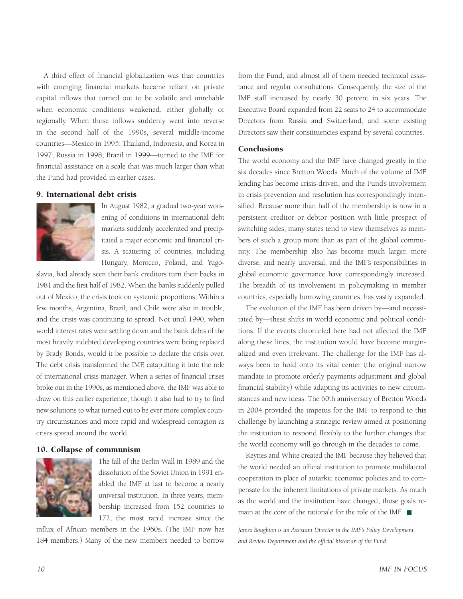A third effect of financial globalization was that countries with emerging financial markets became reliant on private capital inflows that turned out to be volatile and unreliable when economic conditions weakened, either globally or regionally. When those inflows suddenly went into reverse in the second half of the 1990s, several middle-income countries—Mexico in 1995; Thailand, Indonesia, and Korea in 1997; Russia in 1998; Brazil in 1999—turned to the IMF for financial assistance on a scale that was much larger than what the Fund had provided in earlier cases.

#### 9. International debt crisis



In August 1982, a gradual two-year worsening of conditions in international debt markets suddenly accelerated and precipitated a major economic and financial crisis. A scattering of countries, including Hungary, Morocco, Poland, and Yugo-

slavia, had already seen their bank creditors turn their backs in 1981 and the first half of 1982. When the banks suddenly pulled out of Mexico, the crisis took on systemic proportions. Within a few months, Argentina, Brazil, and Chile were also in trouble, and the crisis was continuing to spread. Not until 1990, when world interest rates were settling down and the bank debts of the most heavily indebted developing countries were being replaced by Brady Bonds, would it be possible to declare the crisis over. The debt crisis transformed the IMF, catapulting it into the role of international crisis manager. When a series of financial crises broke out in the 1990s, as mentioned above, the IMF was able to draw on this earlier experience, though it also had to try to find new solutions to what turned out to be ever more complex country circumstances and more rapid and widespread contagion as crises spread around the world.

#### 10. Collapse of communism



The fall of the Berlin Wall in 1989 and the dissolution of the Soviet Union in 1991 enabled the IMF at last to become a nearly universal institution. In three years, membership increased from 152 countries to 172, the most rapid increase since the

influx of African members in the 1960s. (The IMF now has 184 members.) Many of the new members needed to borrow

from the Fund, and almost all of them needed technical assistance and regular consultations. Consequently, the size of the IMF staff increased by nearly 30 percent in six years. The Executive Board expanded from 22 seats to 24 to accommodate Directors from Russia and Switzerland, and some existing Directors saw their constituencies expand by several countries.

#### Conclusions

The world economy and the IMF have changed greatly in the six decades since Bretton Woods. Much of the volume of IMF lending has become crisis-driven, and the Fund's involvement in crisis prevention and resolution has correspondingly intensified. Because more than half of the membership is now in a persistent creditor or debtor position with little prospect of switching sides, many states tend to view themselves as members of such a group more than as part of the global community. The membership also has become much larger, more diverse, and nearly universal, and the IMF's responsibilities in global economic governance have correspondingly increased. The breadth of its involvement in policymaking in member countries, especially borrowing countries, has vastly expanded.

The evolution of the IMF has been driven by—and necessitated by—these shifts in world economic and political conditions. If the events chronicled here had not affected the IMF along these lines, the institution would have become marginalized and even irrelevant. The challenge for the IMF has always been to hold onto its vital center (the original narrow mandate to promote orderly payments adjustment and global financial stability) while adapting its activities to new circumstances and new ideas. The 60th anniversary of Bretton Woods in 2004 provided the impetus for the IMF to respond to this challenge by launching a strategic review aimed at positioning the institution to respond flexibly to the further changes that the world economy will go through in the decades to come.

Keynes and White created the IMF because they believed that the world needed an official institution to promote multilateral cooperation in place of autarkic economic policies and to compensate for the inherent limitations of private markets. As much as the world and the institution have changed, those goals remain at the core of the rationale for the role of the IMF.

James Boughton is an Assistant Director in the IMF's Policy Development *and Review Department and the official historian of the Fund.*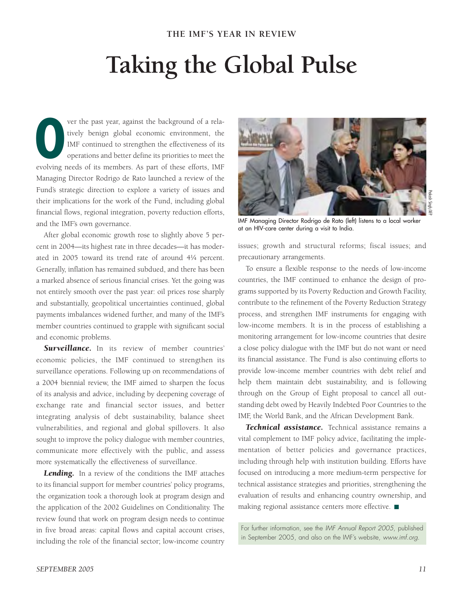## **Taking the Global Pulse**

ver the past year, against the background of a relatively benign global economic environment, the IMF continued to strengthen the effectiveness of its operations and better define its priorities to meet the ever the past year, against the background of a relatively benign global economic environment, the IMF continued to strengthen the effectiveness of its operations and better define its priorities to meet the evolving needs Managing Director Rodrigo de Rato launched a review of the Fund's strategic direction to explore a variety of issues and their implications for the work of the Fund, including global financial flows, regional integration, poverty reduction efforts, and the IMF's own governance.

After global economic growth rose to slightly above 5 percent in 2004—its highest rate in three decades—it has moderated in 2005 toward its trend rate of around 4!/4 percent. Generally, inflation has remained subdued, and there has been a marked absence of serious financial crises. Yet the going was not entirely smooth over the past year: oil prices rose sharply and substantially, geopolitical uncertainties continued, global payments imbalances widened further, and many of the IMF's member countries continued to grapple with significant social and economic problems.

**Surveillance.** In its review of member countries' economic policies, the IMF continued to strengthen its surveillance operations. Following up on recommendations of a 2004 biennial review, the IMF aimed to sharpen the focus of its analysis and advice, including by deepening coverage of exchange rate and financial sector issues, and better integrating analysis of debt sustainability, balance sheet vulnerabilities, and regional and global spillovers. It also sought to improve the policy dialogue with member countries, communicate more effectively with the public, and assess more systematically the effectiveness of surveillance.

Lending. In a review of the conditions the IMF attaches to its financial support for member countries' policy programs, the organization took a thorough look at program design and the application of the 2002 Guidelines on Conditionality. The review found that work on program design needs to continue in five broad areas: capital flows and capital account crises, including the role of the financial sector; low-income country



Prakash Singh/AFP

IMF Managing Director Rodrigo de Rato (left) listens to a local worker at an HIV-care center during a visit to India.

issues; growth and structural reforms; fiscal issues; and precautionary arrangements.

To ensure a flexible response to the needs of low-income countries, the IMF continued to enhance the design of programs supported by its Poverty Reduction and Growth Facility, contribute to the refinement of the Poverty Reduction Strategy process, and strengthen IMF instruments for engaging with low-income members. It is in the process of establishing a monitoring arrangement for low-income countries that desire a close policy dialogue with the IMF but do not want or need its financial assistance. The Fund is also continuing efforts to provide low-income member countries with debt relief and help them maintain debt sustainability, and is following through on the Group of Eight proposal to cancel all outstanding debt owed by Heavily Indebted Poor Countries to the IMF, the World Bank, and the African Development Bank.

*Technical assistance.* Technical assistance remains a vital complement to IMF policy advice, facilitating the implementation of better policies and governance practices, including through help with institution building. Efforts have focused on introducing a more medium-term perspective for technical assistance strategies and priorities, strengthening the evaluation of results and enhancing country ownership, and making regional assistance centers more effective.

For further information, see the *IMF Annual Report 2005*, published in September 2005, and also on the IMF's website, *www.imf.org*.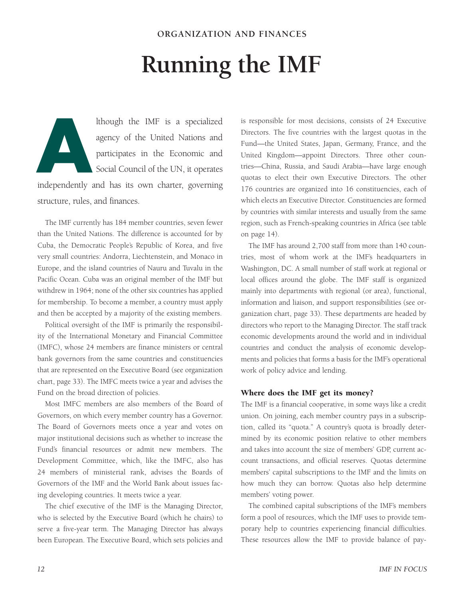## **Running the IMF**

lthough the IMF is a specialized agency of the United Nations and participates in the Economic and Social Council of the UN, it operates **A**

independently and has its own charter, governing structure, rules, and finances.

The IMF currently has 184 member countries, seven fewer than the United Nations. The difference is accounted for by Cuba, the Democratic People's Republic of Korea, and five very small countries: Andorra, Liechtenstein, and Monaco in Europe, and the island countries of Nauru and Tuvalu in the Pacific Ocean. Cuba was an original member of the IMF but withdrew in 1964; none of the other six countries has applied for membership. To become a member, a country must apply and then be accepted by a majority of the existing members.

Political oversight of the IMF is primarily the responsibility of the International Monetary and Financial Committee (IMFC), whose 24 members are finance ministers or central bank governors from the same countries and constituencies that are represented on the Executive Board (see organization chart, page 33). The IMFC meets twice a year and advises the Fund on the broad direction of policies.

Most IMFC members are also members of the Board of Governors, on which every member country has a Governor. The Board of Governors meets once a year and votes on major institutional decisions such as whether to increase the Fund's financial resources or admit new members. The Development Committee, which, like the IMFC, also has 24 members of ministerial rank, advises the Boards of Governors of the IMF and the World Bank about issues facing developing countries. It meets twice a year.

The chief executive of the IMF is the Managing Director, who is selected by the Executive Board (which he chairs) to serve a five-year term. The Managing Director has always been European. The Executive Board, which sets policies and is responsible for most decisions, consists of 24 Executive Directors. The five countries with the largest quotas in the Fund—the United States, Japan, Germany, France, and the United Kingdom—appoint Directors. Three other countries—China, Russia, and Saudi Arabia—have large enough quotas to elect their own Executive Directors. The other 176 countries are organized into 16 constituencies, each of which elects an Executive Director. Constituencies are formed by countries with similar interests and usually from the same region, such as French-speaking countries in Africa (see table on page 14).

The IMF has around 2,700 staff from more than 140 countries, most of whom work at the IMF's headquarters in Washington, DC. A small number of staff work at regional or local offices around the globe. The IMF staff is organized mainly into departments with regional (or area), functional, information and liaison, and support responsibilities (see organization chart, page 33). These departments are headed by directors who report to the Managing Director. The staff track economic developments around the world and in individual countries and conduct the analysis of economic developments and policies that forms a basis for the IMF's operational work of policy advice and lending.

#### Where does the IMF get its money?

The IMF is a financial cooperative, in some ways like a credit union. On joining, each member country pays in a subscription, called its "quota." A country's quota is broadly determined by its economic position relative to other members and takes into account the size of members' GDP, current account transactions, and official reserves. Quotas determine members' capital subscriptions to the IMF and the limits on how much they can borrow. Quotas also help determine members' voting power.

The combined capital subscriptions of the IMF's members form a pool of resources, which the IMF uses to provide temporary help to countries experiencing financial difficulties. These resources allow the IMF to provide balance of pay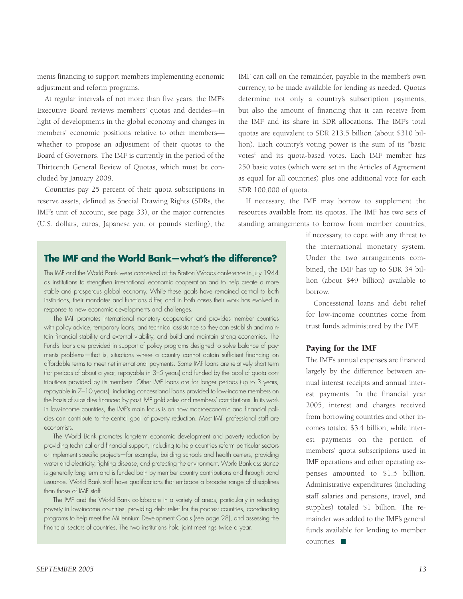ments financing to support members implementing economic adjustment and reform programs.

At regular intervals of not more than five years, the IMF's Executive Board reviews members' quotas and decides—in light of developments in the global economy and changes in members' economic positions relative to other members whether to propose an adjustment of their quotas to the Board of Governors. The IMF is currently in the period of the Thirteenth General Review of Quotas, which must be concluded by January 2008.

Countries pay 25 percent of their quota subscriptions in reserve assets, defined as Special Drawing Rights (SDRs, the IMF's unit of account, see page 33), or the major currencies (U.S. dollars, euros, Japanese yen, or pounds sterling); the

IMF can call on the remainder, payable in the member's own currency, to be made available for lending as needed. Quotas determine not only a country's subscription payments, but also the amount of financing that it can receive from the IMF and its share in SDR allocations. The IMF's total quotas are equivalent to SDR 213.5 billion (about \$310 billion). Each country's voting power is the sum of its "basic votes" and its quota-based votes. Each IMF member has 250 basic votes (which were set in the Articles of Agreement as equal for all countries) plus one additional vote for each SDR 100,000 of quota.

If necessary, the IMF may borrow to supplement the resources available from its quotas. The IMF has two sets of standing arrangements to borrow from member countries,

### **The IMF and the World Bank—what's the difference?**

The IMF and the World Bank were conceived at the Bretton Woods conference in July 1944 as institutions to strengthen international economic cooperation and to help create a more stable and prosperous global economy. While these goals have remained central to both institutions, their mandates and functions differ, and in both cases their work has evolved in response to new economic developments and challenges.

The IMF promotes international monetary cooperation and provides member countries with policy advice, temporary loans, and technical assistance so they can establish and maintain financial stability and external viability, and build and maintain strong economies. The Fund's loans are provided in support of policy programs designed to solve balance of payments problems—that is, situations where a country cannot obtain sufficient financing on affordable terms to meet net international payments. Some IMF loans are relatively short term (for periods of about a year, repayable in 3–5 years) and funded by the pool of quota contributions provided by its members. Other IMF loans are for longer periods (up to 3 years, repayable in 7–10 years), including concessional loans provided to low-income members on the basis of subsidies financed by past IMF gold sales and members' contributions. In its work in low-income countries, the IMF's main focus is on how macroeconomic and financial policies can contribute to the central goal of poverty reduction. Most IMF professional staff are economists.

The World Bank promotes long-term economic development and poverty reduction by providing technical and financial support, including to help countries reform particular sectors or implement specific projects—for example, building schools and health centers, providing water and electricity, fighting disease, and protecting the environment. World Bank assistance is generally long term and is funded both by member country contributions and through bond issuance. World Bank staff have qualifications that embrace a broader range of disciplines than those of IMF staff.

The IMF and the World Bank collaborate in a variety of areas, particularly in reducing poverty in low-income countries, providing debt relief for the poorest countries, coordinating programs to help meet the Millennium Development Goals (see page 28), and assessing the financial sectors of countries. The two institutions hold joint meetings twice a year.

if necessary, to cope with any threat to the international monetary system. Under the two arrangements combined, the IMF has up to SDR 34 billion (about \$49 billion) available to borrow.

Concessional loans and debt relief for low-income countries come from trust funds administered by the IMF.

#### Paying for the IMF

The IMF's annual expenses are financed largely by the difference between annual interest receipts and annual interest payments. In the financial year 2005, interest and charges received from borrowing countries and other incomes totaled \$3.4 billion, while interest payments on the portion of members' quota subscriptions used in IMF operations and other operating expenses amounted to \$1.5 billion. Administrative expenditures (including staff salaries and pensions, travel, and supplies) totaled \$1 billion. The remainder was added to the IMF's general funds available for lending to member countries.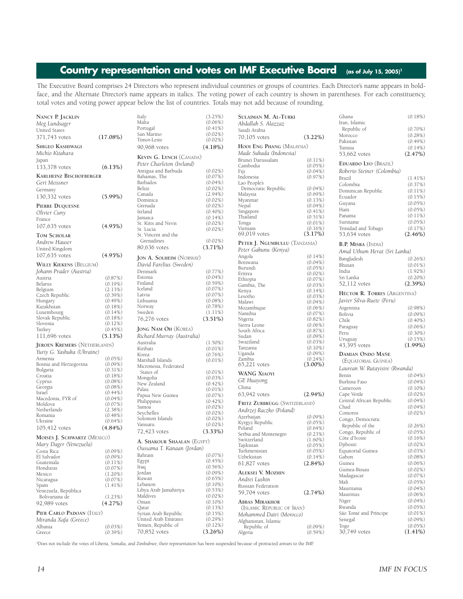## Country representation and votes on IMF Executive Board (as of July 15, 2005)<sup>1</sup>

The Executive Board comprises 24 Directors who represent individual countries or groups of countries. Each Director's name appears in boldface, and the Alternate Director's name appears in italics. The voting power of each country is shown in parentheses. For each constituency, total votes and voting power appear below the list of countries. Totals may not add because of rounding.

| NANCY P. JACKLIN                    |             | Italy                          | (3.25%)    | <b>SULAIMAN M. AL-TURKI</b>   |            | Ghana                          | (0.18%)    |
|-------------------------------------|-------------|--------------------------------|------------|-------------------------------|------------|--------------------------------|------------|
|                                     |             | Malta                          | $(0.06\%)$ |                               |            | Iran, Islamic                  |            |
| Meg Lundsager                       |             |                                |            | Abdallah S. Alazzaz           |            |                                |            |
| United States                       |             | Portugal                       | $(0.41\%)$ | Saudi Arabia                  |            | Republic of                    | $(0.70\%)$ |
|                                     |             | San Marino                     | $(0.02\%)$ |                               |            | Morocco                        | (0.28%)    |
| 371,743 votes                       | $(17.08\%)$ | Timor-Leste                    | $(0.02\%)$ | 70,105 votes                  | $(3.22\%)$ |                                |            |
|                                     |             |                                |            |                               |            | Pakistan                       | $(0.49\%)$ |
| SHIGEO KASHIWAGI                    |             | 90,968 votes                   | $(4.18\%)$ | HOOI ENG PHANG (MALAYSIA)     |            | Tunisia                        | $(0.14\%)$ |
| Michio Kitahara                     |             |                                |            | Made Sukada (Indonesia)       |            | 53,662 votes                   | (2.47%)    |
|                                     |             | KEVIN G. LYNCH (CANADA)        |            |                               |            |                                |            |
| Japan                               |             |                                |            | Brunei Darussalam             | $(0.11\%)$ |                                |            |
| 133,378 votes                       | (6.13%)     | Peter Charleton (Ireland)      |            | Cambodia                      | $(0.05\%)$ | <b>EDUARDO LYO (BRAZIL)</b>    |            |
|                                     |             | Antigua and Barbuda            | $(0.02\%)$ | Fiji                          | $(0.04\%)$ | Roberto Steiner (Colombia)     |            |
| <b>KARLHEINZ BISCHOFBERGER</b>      |             | Bahamas, The                   | $(0.07\%)$ |                               |            |                                |            |
|                                     |             |                                |            | Indonesia                     | (0.97%)    | Brazil                         | $(1.41\%)$ |
| Gert Meissner                       |             | Barbados                       | $(0.04\%)$ | Lao People's                  |            | Colombia                       | (0.37%)    |
| Germany                             |             | Belize                         | $(0.02\%)$ | Democratic Republic           | $(0.04\%)$ |                                |            |
|                                     |             | Canada                         | $(2.94\%)$ | Malaysia                      | $(0.69\%)$ | Dominican Republic             | $(0.11\%)$ |
| 130,332 votes                       | $(5.99\%)$  |                                |            |                               |            | Ecuador                        | (0.15%)    |
|                                     |             | Dominica                       | $(0.02\%)$ | Myanmar                       | (0.13%)    | Guyana                         | $(0.05\%)$ |
| PIERRE DUQUESNE                     |             | Grenada                        | $(0.02\%)$ | Nepal                         | $(0.04\%)$ |                                |            |
| Olivier Cuny                        |             | Ireland                        | $(0.40\%)$ | Singapore                     | $(0.41\%)$ | Haiti                          | $(0.05\%)$ |
|                                     |             |                                |            | Thailand                      | $(0.51\%)$ | Panama                         | $(0.11\%)$ |
| France                              |             | Jamaica                        | $(0.14\%)$ |                               |            |                                |            |
|                                     |             | St. Kitts and Nevis            | $(0.02\%)$ | Tonga                         | $(0.01\%)$ | Suriname                       | $(0.05\%)$ |
| 107,635 votes                       | $(4.95\%)$  | St. Lucia                      | $(0.02\%)$ | Vietnam                       | $(0.16\%)$ | Trinidad and Tobago            | (0.17%)    |
|                                     |             |                                |            | 69,019 votes                  | $(3.17\%)$ | 53,634 votes                   | $(2.46\%)$ |
| <b>TOM SCHOLAR</b>                  |             | St. Vincent and the            |            |                               |            |                                |            |
| Andrew Hauser                       |             | Grenadines                     | $(0.02\%)$ | PETER J. NGUMBULLU (TANZANIA) |            |                                |            |
|                                     |             | 80,636 votes                   | $(3.71\%)$ |                               |            | <b>B.P. MISRA (INDIA)</b>      |            |
| United Kingdom                      |             |                                |            | Peter Gakunu (Kenya)          |            | Amal Uthum Herat (Sri Lanka)   |            |
| 107,635 votes                       | $(4.95\%)$  |                                |            | Angola                        | $(0.14\%)$ |                                |            |
|                                     |             | <b>JON A. SOLHEIM (NORWAY)</b> |            |                               |            | Bangladesh                     | $(0.26\%)$ |
| <b>WILLY KIEKENS (BELGIUM)</b>      |             | David Farelius (Sweden)        |            | Botswana                      | $(0.04\%)$ | Bhutan                         | $(0.01\%)$ |
|                                     |             |                                |            | Burundi                       | $(0.05\%)$ |                                |            |
| Johann Prader (Austria)             |             | Denmark                        | $(0.77\%)$ | Eritrea                       | $(0.02\%)$ | India                          | $(1.92\%)$ |
| Austria                             | (0.87%)     | Estonia                        | $(0.04\%)$ |                               |            | Sri Lanka                      | $(0.20\%)$ |
|                                     |             | Finland                        | $(0.59\%)$ | Ethiopia                      | (0.07%)    |                                |            |
| Belarus                             | $(0.19\%)$  |                                |            | Gambia, The                   | $(0.03\%)$ | 52,112 votes                   | (2.39%)    |
| Belgium                             | (2.13%)     | Iceland                        | (0.07%)    | Kenya                         | $(0.14\%)$ |                                |            |
| Czech Republic                      | $(0.39\%)$  | Latvia                         | $(0.07\%)$ | Lesotho                       | $(0.03\%)$ | HÉCTOR R. TORRES (ARGENTINA)   |            |
| Hungary                             | $(0.49\%)$  | Lithuania                      | $(0.08\%)$ |                               |            | Javier Silva-Ruete (Peru)      |            |
|                                     |             |                                |            | Malawi                        | $(0.04\%)$ |                                |            |
| Kazakhstan                          | $(0.18\%)$  | Norway                         | (0.78%)    | Mozambique                    | $(0.06\%)$ | Argentina                      | $(0.98\%)$ |
| Luxembourg                          | $(0.14\%)$  | Sweden                         | $(1.11\%)$ | Namibia                       | $(0.07\%)$ | Bolivia                        | $(0.09\%)$ |
| Slovak Republic                     | $(0.18\%)$  | 76,276 votes                   | $(3.51\%)$ | Nigeria                       | $(0.82\%)$ |                                |            |
| Slovenia                            | $(0.12\%)$  |                                |            |                               |            | Chile                          | $(0.40\%)$ |
|                                     |             |                                |            | Sierra Leone                  | $(0.06\%)$ | Paraguay                       | $(0.06\%)$ |
| Turkey                              | $(0.45\%)$  | <b>JONG NAM OH (KOREA)</b>     |            | South Africa                  | (0.87%)    | Peru                           | $(0.30\%)$ |
| 111,696 votes                       | (5.13%)     | Richard Murray (Australia)     |            | Sudan                         | $(0.09\%)$ |                                |            |
|                                     |             |                                |            |                               |            | Uruguay                        | (0.15%)    |
| <b>JEROEN KREMERS (NETHERLANDS)</b> |             | Australia                      | $(1.50\%)$ | Swaziland                     | $(0.03\%)$ | 43,395 votes                   | $(1.99\%)$ |
|                                     |             | Kiribati                       | $(0.01\%)$ | Tanzania                      | $(0.10\%)$ |                                |            |
| Yuriy G. Yashuka (Ukraine)          |             | Korea                          | $(0.76\%)$ | Uganda                        | $(0.09\%)$ | <b>DAMIAN ONDO MAÑE</b>        |            |
| Armenia                             | $(0.05\%)$  |                                |            | Zambia                        | $(0.24\%)$ |                                |            |
|                                     | $(0.09\%)$  | Marshall Islands               | $(0.01\%)$ |                               |            | (EQUATORIAL GUINEA)            |            |
| Bosnia and Herzegovina              |             | Micronesia, Federated          |            | $65,221$ votes                | $(3.00\%)$ | Laurean W. Rutayisire (Rwanda) |            |
| Bulgaria                            | $(0.31\%)$  | States of                      | $(0.01\%)$ |                               |            |                                |            |
| Croatia                             | $(0.18\%)$  |                                |            | <b>WANG XIAOYI</b>            |            | Benin                          | $(0.04\%)$ |
| Cyprus                              | $(0.08\%)$  | Mongolia                       | $(0.03\%)$ | GE Huayong                    |            | Burkina Faso                   | $(0.04\%)$ |
|                                     |             | New Zealand                    | $(0.42\%)$ |                               |            |                                |            |
| Georgia                             | $(0.08\%)$  | Palau                          | $(0.01\%)$ | China                         |            | Cameroon                       | $(0.10\%)$ |
| Israel                              | $(0.44\%)$  | Papua New Guinea               | $(0.07\%)$ | 63,942 votes                  | $(2.94\%)$ | Cape Verde                     | $(0.02\%)$ |
| Macedonia, FYR of                   | $(0.04\%)$  |                                |            |                               |            |                                |            |
| Moldova                             | $(0.07\%)$  | Philippines                    | $(0.42\%)$ | FRITZ ZURBRÜGG (SWITZERLAND)  |            | Central African Republic       | $(0.04\%)$ |
|                                     |             | Samoa                          | $(0.02\%)$ |                               |            | Chad                           | $(0.04\%)$ |
| Netherlands                         | $(2.38\%)$  | Seychelles                     | $(0.02\%)$ | Andrzej Raczko (Poland)       |            | Comoros                        | $(0.02\%)$ |
| Romania                             | $(0.48\%)$  |                                |            | Azerbaijan                    | $(0.09\%)$ |                                |            |
| Ukraine                             | $(0.64\%)$  | Solomon Islands                | $(0.02\%)$ | Kyrgyz Republic               | $(0.05\%)$ | Congo, Democratic              |            |
|                                     |             | Vanuatu                        | $(0.02\%)$ |                               |            | Republic of the                | (0.26%)    |
| 105,412 votes                       | $(4.84\%)$  | 72,423 votes                   | $(3.33\%)$ | Poland                        | $(0.64\%)$ |                                |            |
|                                     |             |                                |            | Serbia and Montenegro         | (0.23%)    | Congo, Republic of             | $(0.05\%)$ |
| MOISÉS J. SCHWARTZ (MEXICO)         |             |                                |            | Switzerland                   | $(1.60\%)$ | Côte d'Ivoire                  | $(0.16\%)$ |
| Mary Dager (Venezuela)              |             | A. SHAKOUR SHAALAN (EGYPT)     |            |                               |            | Djibouti                       | $(0.02\%)$ |
|                                     |             | Oussama T. Kanaan (Jordan)     |            | Tajikistan                    | $(0.05\%)$ |                                |            |
| Costa Rica                          | $(0.09\%)$  |                                |            | Turkmenistan                  | $(0.05\%)$ | Equatorial Guinea              | $(0.03\%)$ |
| El Salvador                         | $(0.09\%)$  | Bahrain                        | $(0.07\%)$ | Uzbekistan                    | $(0.14\%)$ | Gabon                          | $(0.08\%)$ |
| Guatemala                           | $(0.11\%)$  | Egypt                          | $(0.45\%)$ |                               |            |                                |            |
|                                     |             | Iraq                           | $(0.56\%)$ | 61.827 votes                  | $(2.84\%)$ | Guinea                         | $(0.06\%)$ |
| Honduras                            | $(0.07\%)$  |                                |            |                               |            | Guinea-Bissau                  | $(0.02\%)$ |
| Mexico                              | $(1.20\%)$  | Jordan                         | $(0.09\%)$ | <b>ALEKSEI V. MOZHIN</b>      |            | Madagascar                     | $(0.07\%)$ |
| Nicaragua                           | $(0.07\%)$  | Kuwait                         | $(0.65\%)$ | Andrei Lushin                 |            |                                |            |
|                                     |             | Lebanon                        | $(0.10\%)$ |                               |            | Mali                           | $(0.05\%)$ |
| Spain                               | $(1.41\%)$  |                                |            | Russian Federation            |            | Mauritania                     | $(0.04\%)$ |
| Venezuela, República                |             | Libya Arab Jamahiriya          | (0.53%)    | 59,704 votes                  | $(2.74\%)$ |                                |            |
| Bolivariana de                      | (1.23%)     | Maldives                       | $(0.02\%)$ |                               |            | Mauritius                      | $(0.06\%)$ |
| 92,989 votes                        |             | Oman                           | $(0.10\%)$ | <b>ABBAS MIRAKHOR</b>         |            | Niger                          | $(0.04\%)$ |
|                                     | $(4.27\%)$  |                                |            |                               |            | Rwanda                         | $(0.05\%)$ |
|                                     |             | Qatar                          | (0.13%)    | (ISLAMIC REPUBLIC OF IRAN)    |            |                                |            |
| PIER CARLO PADOAN (ITALY)           |             | Syrian Arab Republic           | (0.15%)    | Mohammed Daïri (Morocco)      |            | São Tomé and Príncipe          | $(0.01\%)$ |
| Miranda Xafa (Greece)               |             | United Arab Emirates           | (0.29%)    |                               |            | Senegal                        | $(0.09\%)$ |
|                                     |             | Yemen, Republic of             |            | Afghanistan, Islamic          |            |                                |            |
| Albania                             | $(0.03\%)$  |                                | $(0.12\%)$ | Republic of                   | $(0.09\%)$ | Togo                           | $(0.05\%)$ |
|                                     |             |                                |            |                               |            |                                |            |
| Greece                              | $(0.39\%)$  | 70,852 votes                   | $(3.26\%)$ | Algeria                       | $(0.59\%)$ | 30,749 votes                   | $(1.41\%)$ |

1Does not include the votes of Liberia, Somalia, and Zimbabwe; their representation has been suspended because of protracted arrears to the IMF.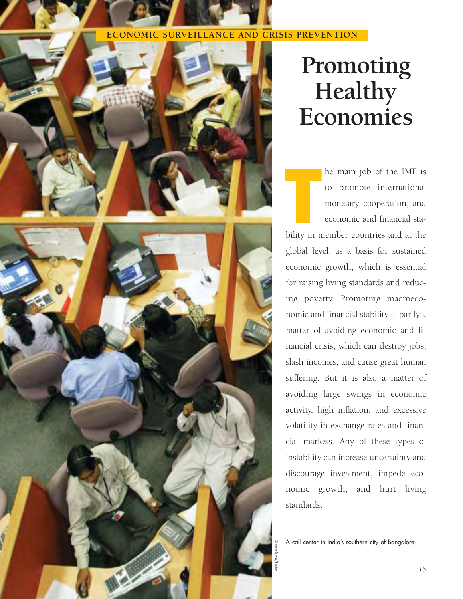### **ECONOMIC SURVEILLANCE AND CRISIS PREVENTION**





## **Promoting Healthy Economies**

he main job of the IMF is to promote international monetary cooperation, and economic and financial stabe main job of the IMF is<br>to promote international<br>monetary cooperation, and<br>economic and financial sta-<br>bility in member countries and at the global level, as a basis for sustained economic growth, which is essential for raising living standards and reducing poverty. Promoting macroeconomic and financial stability is partly a matter of avoiding economic and financial crisis, which can destroy jobs, slash incomes, and cause great human suffering. But it is also a matter of avoiding large swings in economic activity, high inflation, and excessive volatility in exchange rates and financial markets. Any of these types of instability can increase uncertainty and discourage investment, impede economic growth, and hurt living standards.

A call center in India's southern city of Bangalore.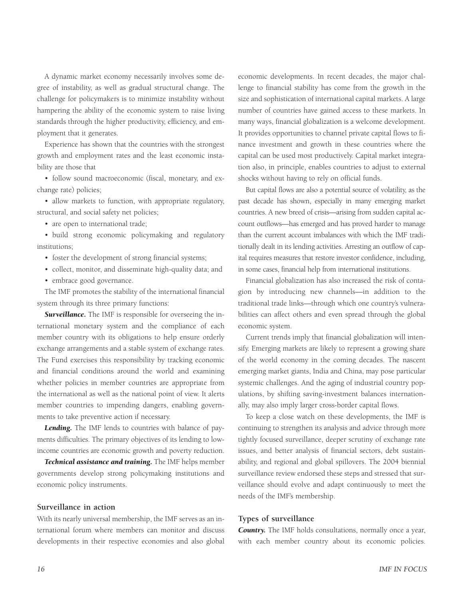A dynamic market economy necessarily involves some degree of instability, as well as gradual structural change. The challenge for policymakers is to minimize instability without hampering the ability of the economic system to raise living standards through the higher productivity, efficiency, and employment that it generates.

Experience has shown that the countries with the strongest growth and employment rates and the least economic instability are those that

• follow sound macroeconomic (fiscal, monetary, and exchange rate) policies;

• allow markets to function, with appropriate regulatory, structural, and social safety net policies;

• are open to international trade;

• build strong economic policymaking and regulatory institutions;

- foster the development of strong financial systems;
- collect, monitor, and disseminate high-quality data; and
- embrace good governance.

The IMF promotes the stability of the international financial system through its three primary functions:

*Surveillance.* The IMF is responsible for overseeing the international monetary system and the compliance of each member country with its obligations to help ensure orderly exchange arrangements and a stable system of exchange rates. The Fund exercises this responsibility by tracking economic and financial conditions around the world and examining whether policies in member countries are appropriate from the international as well as the national point of view. It alerts member countries to impending dangers, enabling governments to take preventive action if necessary.

*Lending.* The IMF lends to countries with balance of payments difficulties. The primary objectives of its lending to lowincome countries are economic growth and poverty reduction.

*Technical assistance and training.* The IMF helps member governments develop strong policymaking institutions and economic policy instruments.

#### **Surveillance in action**

With its nearly universal membership, the IMF serves as an international forum where members can monitor and discuss developments in their respective economies and also global economic developments. In recent decades, the major challenge to financial stability has come from the growth in the size and sophistication of international capital markets. A large number of countries have gained access to these markets. In many ways, financial globalization is a welcome development. It provides opportunities to channel private capital flows to finance investment and growth in these countries where the capital can be used most productively. Capital market integration also, in principle, enables countries to adjust to external shocks without having to rely on official funds.

But capital flows are also a potential source of volatility, as the past decade has shown, especially in many emerging market countries. A new breed of crisis—arising from sudden capital account outflows—has emerged and has proved harder to manage than the current account imbalances with which the IMF traditionally dealt in its lending activities. Arresting an outflow of capital requires measures that restore investor confidence, including, in some cases, financial help from international institutions.

Financial globalization has also increased the risk of contagion by introducing new channels—in addition to the traditional trade links—through which one country's vulnerabilities can affect others and even spread through the global economic system.

Current trends imply that financial globalization will intensify. Emerging markets are likely to represent a growing share of the world economy in the coming decades. The nascent emerging market giants, India and China, may pose particular systemic challenges. And the aging of industrial country populations, by shifting saving-investment balances internationally, may also imply larger cross-border capital flows.

To keep a close watch on these developments, the IMF is continuing to strengthen its analysis and advice through more tightly focused surveillance, deeper scrutiny of exchange rate issues, and better analysis of financial sectors, debt sustainability, and regional and global spillovers. The 2004 biennial surveillance review endorsed these steps and stressed that surveillance should evolve and adapt continuously to meet the needs of the IMF's membership.

#### **Types of surveillance**

*Country.* The IMF holds consultations, normally once a year, with each member country about its economic policies.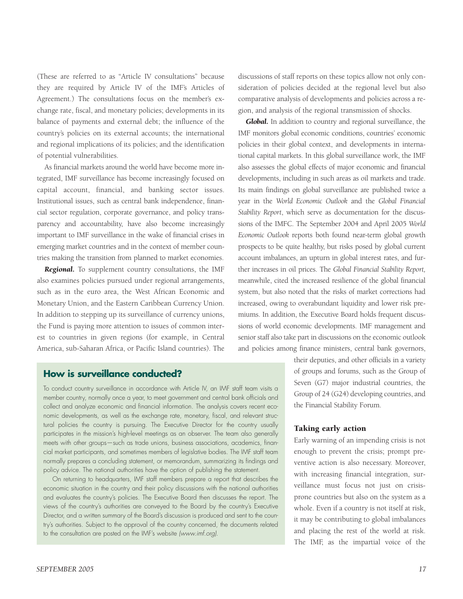(These are referred to as "Article IV consultations" because they are required by Article IV of the IMF's Articles of Agreement.) The consultations focus on the member's exchange rate, fiscal, and monetary policies; developments in its balance of payments and external debt; the influence of the country's policies on its external accounts; the international and regional implications of its policies; and the identification of potential vulnerabilities.

As financial markets around the world have become more integrated, IMF surveillance has become increasingly focused on capital account, financial, and banking sector issues. Institutional issues, such as central bank independence, financial sector regulation, corporate governance, and policy transparency and accountability, have also become increasingly important to IMF surveillance in the wake of financial crises in emerging market countries and in the context of member countries making the transition from planned to market economies.

*Regional.* To supplement country consultations, the IMF also examines policies pursued under regional arrangements, such as in the euro area, the West African Economic and Monetary Union, and the Eastern Caribbean Currency Union. In addition to stepping up its surveillance of currency unions, the Fund is paying more attention to issues of common interest to countries in given regions (for example, in Central America, sub-Saharan Africa, or Pacific Island countries). The

### **How is surveillance conducted?**

To conduct country surveillance in accordance with Article IV, an IMF staff team visits a member country, normally once a year, to meet government and central bank officials and collect and analyze economic and financial information. The analysis covers recent economic developments, as well as the exchange rate, monetary, fiscal, and relevant structural policies the country is pursuing. The Executive Director for the country usually participates in the mission's high-level meetings as an observer. The team also generally meets with other groups—such as trade unions, business associations, academics, financial market participants, and sometimes members of legislative bodies. The IMF staff team normally prepares a concluding statement, or memorandum, summarizing its findings and policy advice. The national authorities have the option of publishing the statement.

On returning to headquarters, IMF staff members prepare a report that describes the economic situation in the country and their policy discussions with the national authorities and evaluates the country's policies. The Executive Board then discusses the report. The views of the country's authorities are conveyed to the Board by the country's Executive Director, and a written summary of the Board's discussion is produced and sent to the country's authorities. Subject to the approval of the country concerned, the documents related to the consultation are posted on the IMF's website *(www.imf.org)*.

discussions of staff reports on these topics allow not only consideration of policies decided at the regional level but also comparative analysis of developments and policies across a region, and analysis of the regional transmission of shocks.

*Global.* In addition to country and regional surveillance, the IMF monitors global economic conditions, countries' economic policies in their global context, and developments in international capital markets. In this global surveillance work, the IMF also assesses the global effects of major economic and financial developments, including in such areas as oil markets and trade. Its main findings on global surveillance are published twice a year in the *World Economic Outlook* and the *Global Financial Stability Report*, which serve as documentation for the discussions of the IMFC. The September 2004 and April 2005 *World Economic Outlook* reports both found near-term global growth prospects to be quite healthy, but risks posed by global current account imbalances, an upturn in global interest rates, and further increases in oil prices. The *Global Financial Stability Report,* meanwhile, cited the increased resilience of the global financial system, but also noted that the risks of market corrections had increased, owing to overabundant liquidity and lower risk premiums. In addition, the Executive Board holds frequent discussions of world economic developments. IMF management and senior staff also take part in discussions on the economic outlook and policies among finance ministers, central bank governors,

> their deputies, and other officials in a variety of groups and forums, such as the Group of Seven (G7) major industrial countries, the Group of 24 (G24) developing countries, and the Financial Stability Forum.

#### Taking early action

Early warning of an impending crisis is not enough to prevent the crisis; prompt preventive action is also necessary. Moreover, with increasing financial integration, surveillance must focus not just on crisisprone countries but also on the system as a whole. Even if a country is not itself at risk, it may be contributing to global imbalances and placing the rest of the world at risk. The IMF, as the impartial voice of the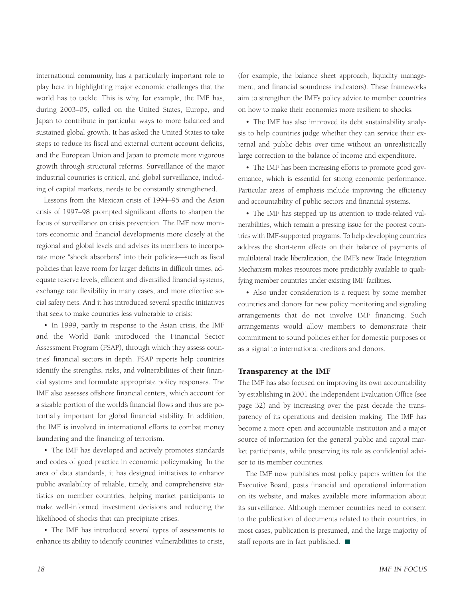international community, has a particularly important role to play here in highlighting major economic challenges that the world has to tackle. This is why, for example, the IMF has, during 2003–05, called on the United States, Europe, and Japan to contribute in particular ways to more balanced and sustained global growth. It has asked the United States to take steps to reduce its fiscal and external current account deficits, and the European Union and Japan to promote more vigorous growth through structural reforms. Surveillance of the major industrial countries is critical, and global surveillance, including of capital markets, needs to be constantly strengthened.

Lessons from the Mexican crisis of 1994–95 and the Asian crisis of 1997–98 prompted significant efforts to sharpen the focus of surveillance on crisis prevention. The IMF now monitors economic and financial developments more closely at the regional and global levels and advises its members to incorporate more "shock absorbers" into their policies—such as fiscal policies that leave room for larger deficits in difficult times, adequate reserve levels, efficient and diversified financial systems, exchange rate flexibility in many cases, and more effective social safety nets. And it has introduced several specific initiatives that seek to make countries less vulnerable to crisis:

• In 1999, partly in response to the Asian crisis, the IMF and the World Bank introduced the Financial Sector Assessment Program (FSAP), through which they assess countries' financial sectors in depth. FSAP reports help countries identify the strengths, risks, and vulnerabilities of their financial systems and formulate appropriate policy responses. The IMF also assesses offshore financial centers, which account for a sizable portion of the world's financial flows and thus are potentially important for global financial stability. In addition, the IMF is involved in international efforts to combat money laundering and the financing of terrorism.

• The IMF has developed and actively promotes standards and codes of good practice in economic policymaking. In the area of data standards, it has designed initiatives to enhance public availability of reliable, timely, and comprehensive statistics on member countries, helping market participants to make well-informed investment decisions and reducing the likelihood of shocks that can precipitate crises.

• The IMF has introduced several types of assessments to enhance its ability to identify countries' vulnerabilities to crisis, (for example, the balance sheet approach, liquidity management, and financial soundness indicators). These frameworks aim to strengthen the IMF's policy advice to member countries on how to make their economies more resilient to shocks.

• The IMF has also improved its debt sustainability analysis to help countries judge whether they can service their external and public debts over time without an unrealistically large correction to the balance of income and expenditure.

• The IMF has been increasing efforts to promote good governance, which is essential for strong economic performance. Particular areas of emphasis include improving the efficiency and accountability of public sectors and financial systems.

• The IMF has stepped up its attention to trade-related vulnerabilities, which remain a pressing issue for the poorest countries with IMF-supported programs. To help developing countries address the short-term effects on their balance of payments of multilateral trade liberalization, the IMF's new Trade Integration Mechanism makes resources more predictably available to qualifying member countries under existing IMF facilities.

• Also under consideration is a request by some member countries and donors for new policy monitoring and signaling arrangements that do not involve IMF financing. Such arrangements would allow members to demonstrate their commitment to sound policies either for domestic purposes or as a signal to international creditors and donors.

#### Transparency at the IMF

The IMF has also focused on improving its own accountability by establishing in 2001 the Independent Evaluation Office (see page 32) and by increasing over the past decade the transparency of its operations and decision making. The IMF has become a more open and accountable institution and a major source of information for the general public and capital market participants, while preserving its role as confidential advisor to its member countries.

The IMF now publishes most policy papers written for the Executive Board, posts financial and operational information on its website, and makes available more information about its surveillance. Although member countries need to consent to the publication of documents related to their countries, in most cases, publication is presumed, and the large majority of staff reports are in fact published.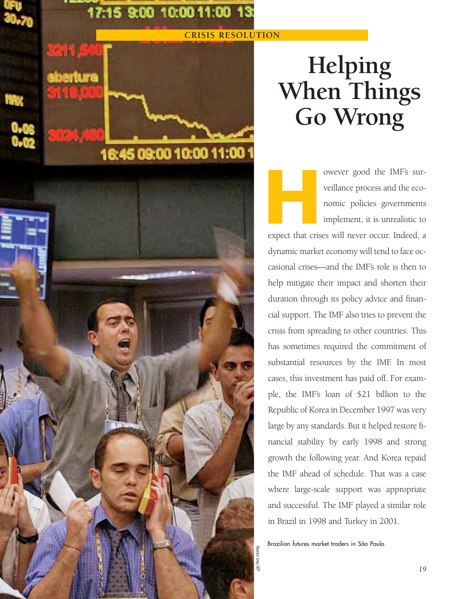## 17:15 9:00 10:00 11:00 13:

16:45 09:00 10:00 11:00

### **CRISIS RESOLUTION**

## **Helping When Things Go Wrong**

owever good the IMF's surveillance process and the economic policies governments implement, it is unrealistic to owever good the IMF's surveillance process and the economic policies governments<br>
implement, it is unrealistic to<br>
expect that crises will never occur. Indeed, a

dynamic market economy will tend to face occasional crises—and the IMF's role is then to help mitigate their impact and shorten their duration through its policy advice and financial support. The IMF also tries to prevent the crisis from spreading to other countries. This has sometimes required the commitment of substantial resources by the IMF. In most cases, this investment has paid off. For example, the IMF's loan of \$21 billion to the Republic of Korea in December 1997 was very large by any standards. But it helped restore financial stability by early 1998 and strong growth the following year. And Korea repaid the IMF ahead of schedule. That was a case where large-scale support was appropriate and successful. The IMF played a similar role in Brazil in 1998 and Turkey in 2001.

Brazilian futures market traders in São Paulo.

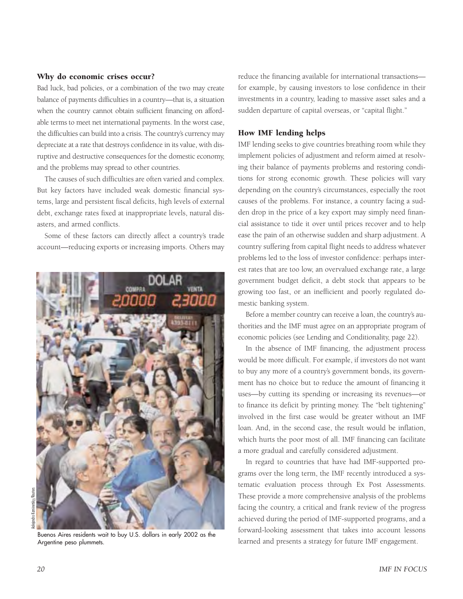#### Why do economic crises occur?

Bad luck, bad policies, or a combination of the two may create balance of payments difficulties in a country—that is, a situation when the country cannot obtain sufficient financing on affordable terms to meet net international payments. In the worst case, the difficulties can build into a crisis. The country's currency may depreciate at a rate that destroys confidence in its value, with disruptive and destructive consequences for the domestic economy, and the problems may spread to other countries.

The causes of such difficulties are often varied and complex. But key factors have included weak domestic financial systems, large and persistent fiscal deficits, high levels of external debt, exchange rates fixed at inappropriate levels, natural disasters, and armed conflicts.

Some of these factors can directly affect a country's trade account—reducing exports or increasing imports. Others may



Argentine peso plummets.

reduce the financing available for international transactions for example, by causing investors to lose confidence in their investments in a country, leading to massive asset sales and a sudden departure of capital overseas, or "capital flight."

#### How IMF lending helps

IMF lending seeks to give countries breathing room while they implement policies of adjustment and reform aimed at resolving their balance of payments problems and restoring conditions for strong economic growth. These policies will vary depending on the country's circumstances, especially the root causes of the problems. For instance, a country facing a sudden drop in the price of a key export may simply need financial assistance to tide it over until prices recover and to help ease the pain of an otherwise sudden and sharp adjustment. A country suffering from capital flight needs to address whatever problems led to the loss of investor confidence: perhaps interest rates that are too low, an overvalued exchange rate, a large government budget deficit, a debt stock that appears to be growing too fast, or an inefficient and poorly regulated domestic banking system.

Before a member country can receive a loan, the country's authorities and the IMF must agree on an appropriate program of economic policies (see Lending and Conditionality, page 22).

In the absence of IMF financing, the adjustment process would be more difficult. For example, if investors do not want to buy any more of a country's government bonds, its government has no choice but to reduce the amount of financing it uses—by cutting its spending or increasing its revenues—or to finance its deficit by printing money. The "belt tightening" involved in the first case would be greater without an IMF loan. And, in the second case, the result would be inflation, which hurts the poor most of all. IMF financing can facilitate a more gradual and carefully considered adjustment.

In regard to countries that have had IMF-supported programs over the long term, the IMF recently introduced a systematic evaluation process through Ex Post Assessments. These provide a more comprehensive analysis of the problems facing the country, a critical and frank review of the progress achieved during the period of IMF-supported programs, and a forward-looking assessment that takes into account lessons Buenos Aires residents wait to buy U.S. dollars in early 2002 as the lot waith to buy assessment that takes the account ressort a strategy for future IMF engagement.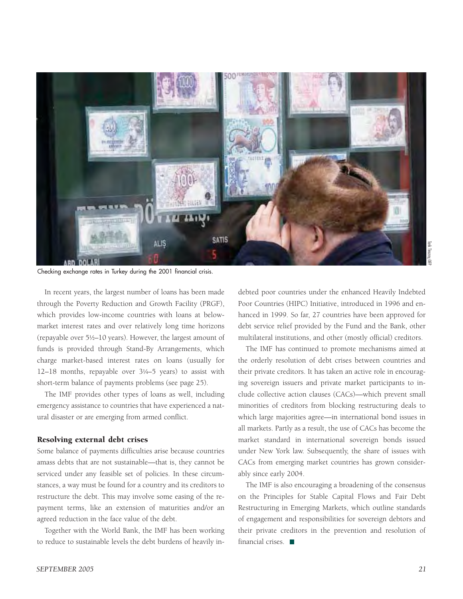

Checking exchange rates in Turkey during the 2001 financial crisis.

In recent years, the largest number of loans has been made through the Poverty Reduction and Growth Facility (PRGF), which provides low-income countries with loans at belowmarket interest rates and over relatively long time horizons (repayable over  $5\frac{1}{2}$ –10 years). However, the largest amount of funds is provided through Stand-By Arrangements, which charge market-based interest rates on loans (usually for 12–18 months, repayable over 3!/4–5 years) to assist with short-term balance of payments problems (see page 25).

The IMF provides other types of loans as well, including emergency assistance to countries that have experienced a natural disaster or are emerging from armed conflict.

#### Resolving external debt crises

Some balance of payments difficulties arise because countries amass debts that are not sustainable—that is, they cannot be serviced under any feasible set of policies. In these circumstances, a way must be found for a country and its creditors to restructure the debt. This may involve some easing of the repayment terms, like an extension of maturities and/or an agreed reduction in the face value of the debt.

Together with the World Bank, the IMF has been working to reduce to sustainable levels the debt burdens of heavily indebted poor countries under the enhanced Heavily Indebted Poor Countries (HIPC) Initiative, introduced in 1996 and enhanced in 1999. So far, 27 countries have been approved for debt service relief provided by the Fund and the Bank, other multilateral institutions, and other (mostly official) creditors.

The IMF has continued to promote mechanisms aimed at the orderly resolution of debt crises between countries and their private creditors. It has taken an active role in encouraging sovereign issuers and private market participants to include collective action clauses (CACs)—which prevent small minorities of creditors from blocking restructuring deals to which large majorities agree—in international bond issues in all markets. Partly as a result, the use of CACs has become the market standard in international sovereign bonds issued under New York law. Subsequently, the share of issues with CACs from emerging market countries has grown considerably since early 2004.

The IMF is also encouraging a broadening of the consensus on the Principles for Stable Capital Flows and Fair Debt Restructuring in Emerging Markets, which outline standards of engagement and responsibilities for sovereign debtors and their private creditors in the prevention and resolution of financial crises.  $\blacksquare$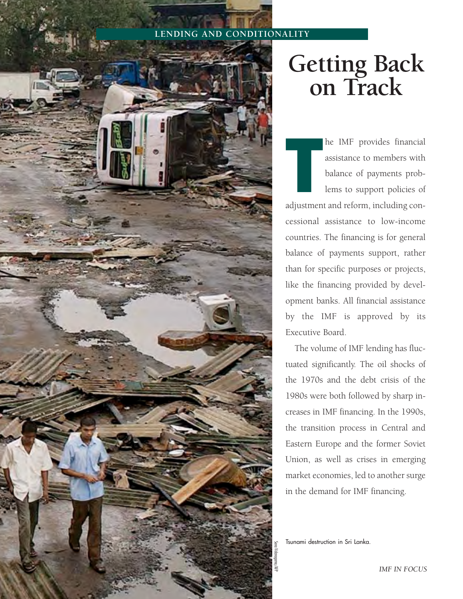## **LENDING AND CONDITIONALITY**



## **Getting Back on Track**

he IMF provides financial assistance to members with balance of payments problems to support policies of **EXECUTE 18 IMF** provides financial assistance to members with balance of payments problems to support policies of adjustment and reform, including concessional assistance to low-income countries. The financing is for general balance of payments support, rather

than for specific purposes or projects, like the financing provided by development banks. All financial assistance by the IMF is approved by its Executive Board.

The volume of IMF lending has fluctuated significantly. The oil shocks of the 1970s and the debt crisis of the 1980s were both followed by sharp increases in IMF financing. In the 1990s, the transition process in Central and Eastern Europe and the former Soviet Union, as well as crises in emerging market economies, led to another surge in the demand for IMF financing.

Tsunami destruction in Sri Lanka.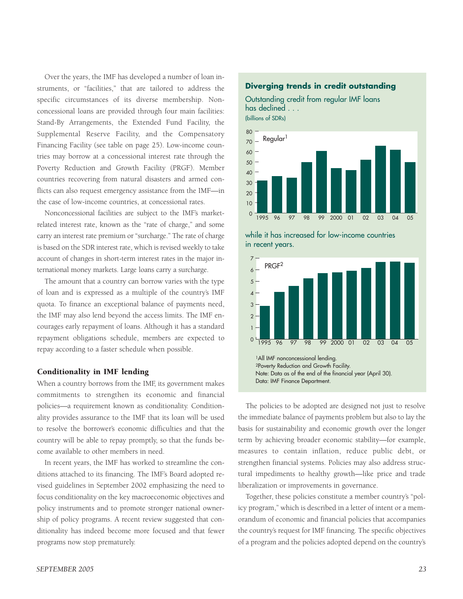Over the years, the IMF has developed a number of loan instruments, or "facilities," that are tailored to address the specific circumstances of its diverse membership. Nonconcessional loans are provided through four main facilities: Stand-By Arrangements, the Extended Fund Facility, the Supplemental Reserve Facility, and the Compensatory Financing Facility (see table on page 25). Low-income countries may borrow at a concessional interest rate through the Poverty Reduction and Growth Facility (PRGF). Member countries recovering from natural disasters and armed conflicts can also request emergency assistance from the IMF—in the case of low-income countries, at concessional rates.

Nonconcessional facilities are subject to the IMF's marketrelated interest rate, known as the "rate of charge," and some carry an interest rate premium or "surcharge." The rate of charge is based on the SDR interest rate, which is revised weekly to take account of changes in short-term interest rates in the major international money markets. Large loans carry a surcharge.

The amount that a country can borrow varies with the type of loan and is expressed as a multiple of the country's IMF quota. To finance an exceptional balance of payments need, the IMF may also lend beyond the access limits. The IMF encourages early repayment of loans. Although it has a standard repayment obligations schedule, members are expected to repay according to a faster schedule when possible.

#### Conditionality in IMF lending

When a country borrows from the IMF, its government makes commitments to strengthen its economic and financial policies—a requirement known as conditionality. Conditionality provides assurance to the IMF that its loan will be used to resolve the borrower's economic difficulties and that the country will be able to repay promptly, so that the funds become available to other members in need.

In recent years, the IMF has worked to streamline the conditions attached to its financing. The IMF's Board adopted revised guidelines in September 2002 emphasizing the need to focus conditionality on the key macroeconomic objectives and policy instruments and to promote stronger national ownership of policy programs. A recent review suggested that conditionality has indeed become more focused and that fewer programs now stop prematurely.

#### **Diverging trends in credit outstanding**

Outstanding credit from regular IMF loans has declined . . . (billions of SDRs)







The policies to be adopted are designed not just to resolve the immediate balance of payments problem but also to lay the basis for sustainability and economic growth over the longer term by achieving broader economic stability—for example, measures to contain inflation, reduce public debt, or strengthen financial systems. Policies may also address structural impediments to healthy growth—like price and trade liberalization or improvements in governance.

Together, these policies constitute a member country's "policy program," which is described in a letter of intent or a memorandum of economic and financial policies that accompanies the country's request for IMF financing. The specific objectives of a program and the policies adopted depend on the country's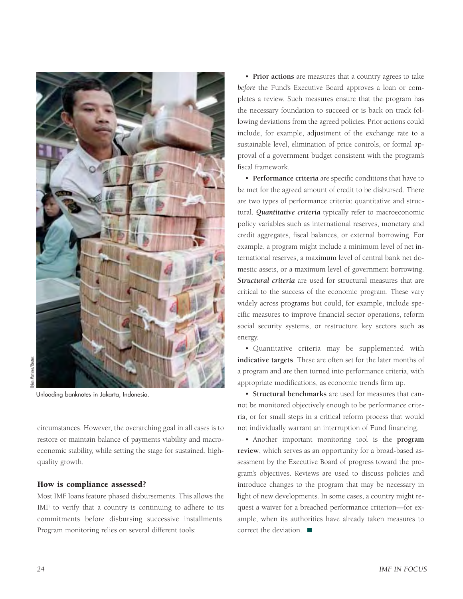

lylan Martinez/Reuters Dylan Martinez/Reuters

Unloading banknotes in Jakarta, Indonesia.

circumstances. However, the overarching goal in all cases is to restore or maintain balance of payments viability and macroeconomic stability, while setting the stage for sustained, highquality growth.

#### How is compliance assessed?

Most IMF loans feature phased disbursements. This allows the IMF to verify that a country is continuing to adhere to its commitments before disbursing successive installments. Program monitoring relies on several different tools:

• **Prior actions** are measures that a country agrees to take *before* the Fund's Executive Board approves a loan or completes a review. Such measures ensure that the program has the necessary foundation to succeed or is back on track following deviations from the agreed policies. Prior actions could include, for example, adjustment of the exchange rate to a sustainable level, elimination of price controls, or formal approval of a government budget consistent with the program's fiscal framework.

• **Performance criteria** are specific conditions that have to be met for the agreed amount of credit to be disbursed. There are two types of performance criteria: quantitative and structural. *Quantitative criteria* typically refer to macroeconomic policy variables such as international reserves, monetary and credit aggregates, fiscal balances, or external borrowing. For example, a program might include a minimum level of net international reserves, a maximum level of central bank net domestic assets, or a maximum level of government borrowing. *Structural criteria* are used for structural measures that are critical to the success of the economic program. These vary widely across programs but could, for example, include specific measures to improve financial sector operations, reform social security systems, or restructure key sectors such as energy.

• Quantitative criteria may be supplemented with **indicative targets**. These are often set for the later months of a program and are then turned into performance criteria, with appropriate modifications, as economic trends firm up.

• **Structural benchmarks** are used for measures that cannot be monitored objectively enough to be performance criteria, or for small steps in a critical reform process that would not individually warrant an interruption of Fund financing.

• Another important monitoring tool is the **program review**, which serves as an opportunity for a broad-based assessment by the Executive Board of progress toward the program's objectives. Reviews are used to discuss policies and introduce changes to the program that may be necessary in light of new developments. In some cases, a country might request a waiver for a breached performance criterion—for example, when its authorities have already taken measures to correct the deviation.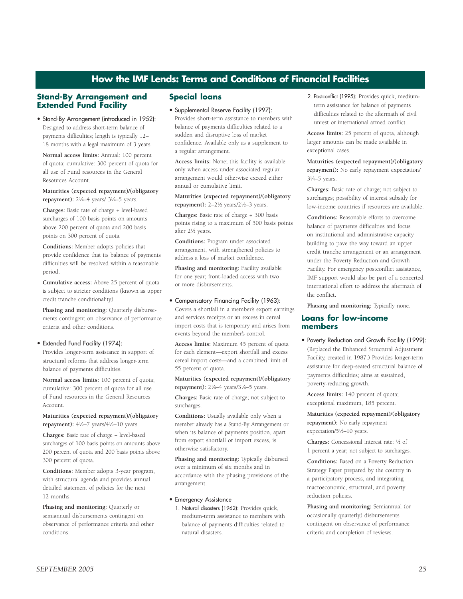### **How the IMF Lends: Terms and Conditions of Financial Facilities**

#### **Stand-By Arrangement and Extended Fund Facility**

• Stand-By Arrangement (introduced in 1952): Designed to address short-term balance of payments difficulties; length is typically 12– 18 months with a legal maximum of 3 years.

**Normal access limits:** Annual: 100 percent of quota; cumulative: 300 percent of quota for all use of Fund resources in the General Resources Account.

**Maturities (expected repayment)/(obligatory repayment**): 21/4-4 years/ 31/4-5 years.

**Charges:** Basic rate of charge + level-based surcharges of 100 basis points on amounts above 200 percent of quota and 200 basis points on 300 percent of quota.

**Conditions:** Member adopts policies that provide confidence that its balance of payments difficulties will be resolved within a reasonable period.

**Cumulative access:** Above 25 percent of quota is subject to stricter conditions (known as upper credit tranche conditionality).

**Phasing and monitoring:** Quarterly disbursements contingent on observance of performance criteria and other conditions.

#### • Extended Fund Facility (1974):

Provides longer-term assistance in support of structural reforms that address longer-term balance of payments difficulties.

**Normal access limits:** 100 percent of quota; cumulative: 300 percent of quota for all use of Fund resources in the General Resources Account.

#### **Maturities (expected repayment)/(obligatory** repayment):  $4\frac{1}{2} - 7$  years/ $4\frac{1}{2} - 10$  years.

**Charges:** Basic rate of charge + level-based surcharges of 100 basis points on amounts above 200 percent of quota and 200 basis points above 300 percent of quota.

**Conditions:** Member adopts 3-year program, with structural agenda and provides annual detailed statement of policies for the next 12 months.

**Phasing and monitoring:** Quarterly or semiannual disbursements contingent on observance of performance criteria and other conditions.

#### **Special loans**

#### • Supplemental Reserve Facility (1997):

Provides short-term assistance to members with balance of payments difficulties related to a sudden and disruptive loss of market confidence. Available only as a supplement to a regular arrangement.

**Access limits:** None; this facility is available only when access under associated regular arrangement would otherwise exceed either annual or cumulative limit.

**Maturities (expected repayment)/(obligatory repayment):** 2-2½ years/2½-3 years.

**Charges:** Basic rate of charge + 300 basis points rising to a maximum of 500 basis points after 21/2 years.

**Conditions:** Program under associated arrangement, with strengthened policies to address a loss of market confidence.

**Phasing and monitoring:** Facility available for one year; front-loaded access with two or more disbursements.

• Compensatory Financing Facility (1963): Covers a shortfall in a member's export earnings and services receipts or an excess in cereal import costs that is temporary and arises from events beyond the member's control.

**Access limits:** Maximum 45 percent of quota for each element—export shortfall and excess cereal import costs––and a combined limit of 55 percent of quota.

**Maturities (expected repayment)/(obligatory repayment**):  $2\frac{1}{4}$ -4 years/3 $\frac{1}{4}$ -5 years.

**Charges:** Basic rate of charge; not subject to surcharges.

**Conditions:** Usually available only when a member already has a Stand-By Arrangement or when its balance of payments position, apart from export shortfall or import excess, is otherwise satisfactory.

**Phasing and monitoring:** Typically disbursed over a minimum of six months and in accordance with the phasing provisions of the arrangement.

#### • Emergency Assistance

1. Natural disasters (1962): Provides quick, medium-term assistance to members with balance of payments difficulties related to natural disasters.

2. Postconflict (1995): Provides quick, mediumterm assistance for balance of payments difficulties related to the aftermath of civil unrest or international armed conflict.

**Access limits:** 25 percent of quota, although larger amounts can be made available in exceptional cases.

**Maturities (expected repayment)/(obligatory repayment):** No early repayment expectation/ 3!/4–5 years.

**Charges:** Basic rate of charge; not subject to surcharges; possibility of interest subsidy for low-income countries if resources are available.

**Conditions:** Reasonable efforts to overcome balance of payments difficulties and focus on institutional and administrative capacity building to pave the way toward an upper credit tranche arrangement or an arrangement under the Poverty Reduction and Growth Facility. For emergency postconflict assistance, IMF support would also be part of a concerted international effort to address the aftermath of the conflict.

**Phasing and monitoring:** Typically none.

#### **Loans for low-income members**

• Poverty Reduction and Growth Facility (1999): (Replaced the Enhanced Structural Adjustment Facility, created in 1987.) Provides longer-term assistance for deep-seated structural balance of payments difficulties; aims at sustained, poverty-reducing growth.

**Access limits:** 140 percent of quota; exceptional maximum, 185 percent.

**Maturities (expected repayment)/(obligatory repayment):** No early repayment expectation/5½-10 years.

**Charges:** Concessional interest rate: !/2 of 1 percent a year; not subject to surcharges.

**Conditions:** Based on a Poverty Reduction Strategy Paper prepared by the country in a participatory process, and integrating macroeconomic, structural, and poverty reduction policies.

**Phasing and monitoring:** Semiannual (or occasionally quarterly) disbursements contingent on observance of performance criteria and completion of reviews.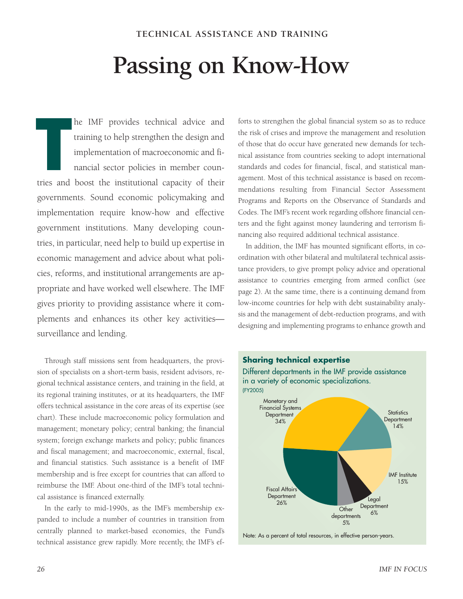## **Passing on Know-How**

he IMF provides technical advice and training to help strengthen the design and implementation of macroeconomic and financial sector policies in member counhe IMF provides technical advice and<br>training to help strengthen the design and<br>implementation of macroeconomic and fi-<br>nancial sector policies in member coun-<br>tries and boost the institutional capacity of their governments. Sound economic policymaking and implementation require know-how and effective government institutions. Many developing countries, in particular, need help to build up expertise in economic management and advice about what policies, reforms, and institutional arrangements are appropriate and have worked well elsewhere. The IMF gives priority to providing assistance where it complements and enhances its other key activities surveillance and lending.

Through staff missions sent from headquarters, the provision of specialists on a short-term basis, resident advisors, regional technical assistance centers, and training in the field, at its regional training institutes, or at its headquarters, the IMF offers technical assistance in the core areas of its expertise (see chart). These include macroeconomic policy formulation and management; monetary policy; central banking; the financial system; foreign exchange markets and policy; public finances and fiscal management; and macroeconomic, external, fiscal, and financial statistics. Such assistance is a benefit of IMF membership and is free except for countries that can afford to reimburse the IMF. About one-third of the IMF's total technical assistance is financed externally.

In the early to mid-1990s, as the IMF's membership expanded to include a number of countries in transition from centrally planned to market-based economies, the Fund's technical assistance grew rapidly. More recently, the IMF's ef-

forts to strengthen the global financial system so as to reduce the risk of crises and improve the management and resolution of those that do occur have generated new demands for technical assistance from countries seeking to adopt international standards and codes for financial, fiscal, and statistical management. Most of this technical assistance is based on recommendations resulting from Financial Sector Assessment Programs and Reports on the Observance of Standards and Codes. The IMF's recent work regarding offshore financial centers and the fight against money laundering and terrorism financing also required additional technical assistance.

In addition, the IMF has mounted significant efforts, in coordination with other bilateral and multilateral technical assistance providers, to give prompt policy advice and operational assistance to countries emerging from armed conflict (see page 2). At the same time, there is a continuing demand from low-income countries for help with debt sustainability analysis and the management of debt-reduction programs, and with designing and implementing programs to enhance growth and

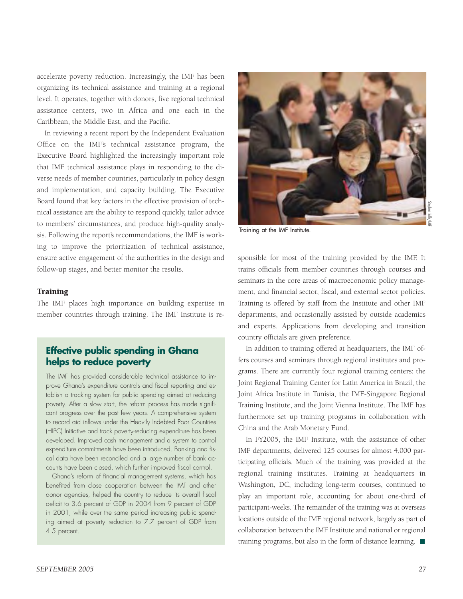accelerate poverty reduction. Increasingly, the IMF has been organizing its technical assistance and training at a regional level. It operates, together with donors, five regional technical assistance centers, two in Africa and one each in the Caribbean, the Middle East, and the Pacific.

In reviewing a recent report by the Independent Evaluation Office on the IMF's technical assistance program, the Executive Board highlighted the increasingly important role that IMF technical assistance plays in responding to the diverse needs of member countries, particularly in policy design and implementation, and capacity building. The Executive Board found that key factors in the effective provision of technical assistance are the ability to respond quickly, tailor advice to members' circumstances, and produce high-quality analysis. Following the report's recommendations, the IMF is working to improve the prioritization of technical assistance, ensure active engagement of the authorities in the design and follow-up stages, and better monitor the results.

#### **Training**

The IMF places high importance on building expertise in member countries through training. The IMF Institute is re-

## **Effective public spending in Ghana helps to reduce poverty**

The IMF has provided considerable technical assistance to improve Ghana's expenditure controls and fiscal reporting and establish a tracking system for public spending aimed at reducing poverty. After a slow start, the reform process has made significant progress over the past few years. A comprehensive system to record aid inflows under the Heavily Indebted Poor Countries (HIPC) Initiative and track poverty-reducing expenditure has been developed. Improved cash management and a system to control expenditure commitments have been introduced. Banking and fiscal data have been reconciled and a large number of bank accounts have been closed, which further improved fiscal control.

Ghana's reform of financial management systems, which has benefited from close cooperation between the IMF and other donor agencies, helped the country to reduce its overall fiscal deficit to 3.6 percent of GDP in 2004 from 9 percent of GDP in 2001, while over the same period increasing public spending aimed at poverty reduction to 7.7 percent of GDP from 4.5 percent.



Training at the IMF Institute.

sponsible for most of the training provided by the IMF. It trains officials from member countries through courses and seminars in the core areas of macroeconomic policy management, and financial sector, fiscal, and external sector policies. Training is offered by staff from the Institute and other IMF departments, and occasionally assisted by outside academics and experts. Applications from developing and transition country officials are given preference.

In addition to training offered at headquarters, the IMF offers courses and seminars through regional institutes and programs. There are currently four regional training centers: the Joint Regional Training Center for Latin America in Brazil, the Joint Africa Institute in Tunisia, the IMF-Singapore Regional Training Institute, and the Joint Vienna Institute. The IMF has furthermore set up training programs in collaboration with China and the Arab Monetary Fund.

In FY2005, the IMF Institute, with the assistance of other IMF departments, delivered 125 courses for almost 4,000 participating officials. Much of the training was provided at the regional training institutes. Training at headquarters in Washington, DC, including long-term courses, continued to play an important role, accounting for about one-third of participant-weeks. The remainder of the training was at overseas locations outside of the IMF regional network, largely as part of collaboration between the IMF Institute and national or regional training programs, but also in the form of distance learning.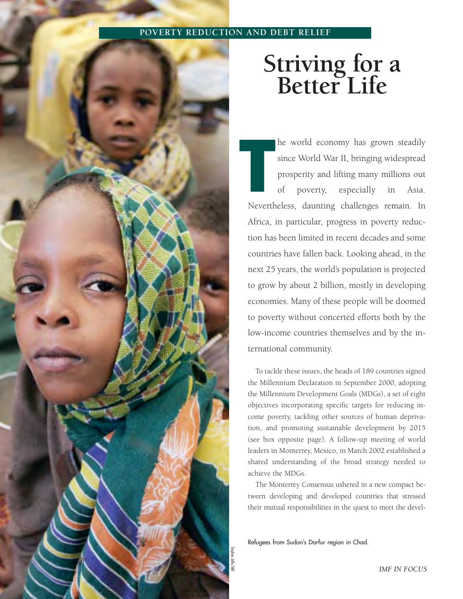#### **POVERTY REDUCTION AND DEBT RELIEF**



## **Striving for a Better Life**

he world economy has grown steadily since World War II, bringing widespread prosperity and lifting many millions out of poverty, especially in Asia. Nevertheless, daunting challenges remain. In Africa, in particular, progress in poverty reduction has been limited in recent decades and some countries have fallen back. Looking ahead, in the next 25 years, the world's population is projected to grow by about 2 billion, mostly in developing economies. Many of these people will be doomed to poverty without concerted efforts both by the low-income countries themselves and by the international community. **T**<br>They<br>They

To tackle these issues, the heads of 189 countries signed the Millennium Declaration in September 2000, adopting the Millennium Development Goals (MDGs), a set of eight objectives incorporating specific targets for reducing income poverty, tackling other sources of human deprivation, and promoting sustainable development by 2015 (see box opposite page). A follow-up meeting of world leaders in Monterrey, Mexico, in March 2002 established a shared understanding of the broad strategy needed to achieve the MDGs.

The Monterrey Consensus ushered in a new compact between developing and developed countries that stressed their mutual responsibilities in the quest to meet the devel-

Refugees from Sudan's Darfur region in Chad.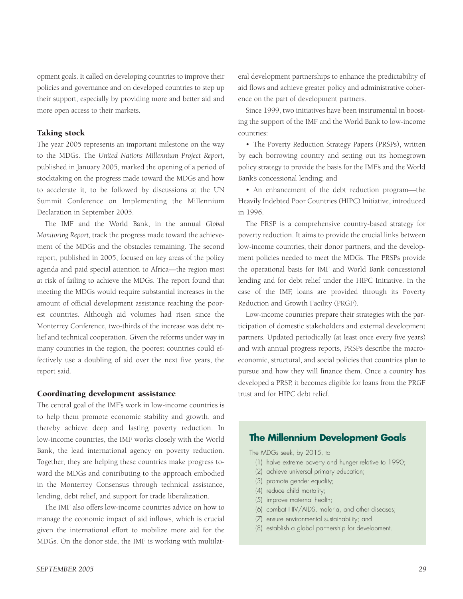opment goals. It called on developing countries to improve their policies and governance and on developed countries to step up their support, especially by providing more and better aid and more open access to their markets.

#### Taking stock

The year 2005 represents an important milestone on the way to the MDGs. The *United Nations Millennium Project Report*, published in January 2005, marked the opening of a period of stocktaking on the progress made toward the MDGs and how to accelerate it, to be followed by discussions at the UN Summit Conference on Implementing the Millennium Declaration in September 2005.

The IMF and the World Bank, in the annual *Global Monitoring Report,* track the progress made toward the achievement of the MDGs and the obstacles remaining. The second report, published in 2005, focused on key areas of the policy agenda and paid special attention to Africa—the region most at risk of failing to achieve the MDGs. The report found that meeting the MDGs would require substantial increases in the amount of official development assistance reaching the poorest countries. Although aid volumes had risen since the Monterrey Conference, two-thirds of the increase was debt relief and technical cooperation. Given the reforms under way in many countries in the region, the poorest countries could effectively use a doubling of aid over the next five years, the report said.

#### Coordinating development assistance

The central goal of the IMF's work in low-income countries is to help them promote economic stability and growth, and thereby achieve deep and lasting poverty reduction. In low-income countries, the IMF works closely with the World Bank, the lead international agency on poverty reduction. Together, they are helping these countries make progress toward the MDGs and contributing to the approach embodied in the Monterrey Consensus through technical assistance, lending, debt relief, and support for trade liberalization.

The IMF also offers low-income countries advice on how to manage the economic impact of aid inflows, which is crucial given the international effort to mobilize more aid for the MDGs. On the donor side, the IMF is working with multilateral development partnerships to enhance the predictability of aid flows and achieve greater policy and administrative coherence on the part of development partners.

Since 1999, two initiatives have been instrumental in boosting the support of the IMF and the World Bank to low-income countries:

• The Poverty Reduction Strategy Papers (PRSPs), written by each borrowing country and setting out its homegrown policy strategy to provide the basis for the IMF's and the World Bank's concessional lending; and

• An enhancement of the debt reduction program—the Heavily Indebted Poor Countries (HIPC) Initiative, introduced in 1996.

The PRSP is a comprehensive country-based strategy for poverty reduction. It aims to provide the crucial links between low-income countries, their donor partners, and the development policies needed to meet the MDGs. The PRSPs provide the operational basis for IMF and World Bank concessional lending and for debt relief under the HIPC Initiative. In the case of the IMF, loans are provided through its Poverty Reduction and Growth Facility (PRGF).

Low-income countries prepare their strategies with the participation of domestic stakeholders and external development partners. Updated periodically (at least once every five years) and with annual progress reports, PRSPs describe the macroeconomic, structural, and social policies that countries plan to pursue and how they will finance them. Once a country has developed a PRSP, it becomes eligible for loans from the PRGF trust and for HIPC debt relief.

#### **The Millennium Development Goals**

The MDGs seek, by 2015, to

- (1) halve extreme poverty and hunger relative to 1990;
- (2) achieve universal primary education;
- (3) promote gender equality;
- (4) reduce child mortality;
- (5) improve maternal health;
- (6) combat HIV/AIDS, malaria, and other diseases;
- (7) ensure environmental sustainability; and
- (8) establish a global partnership for development.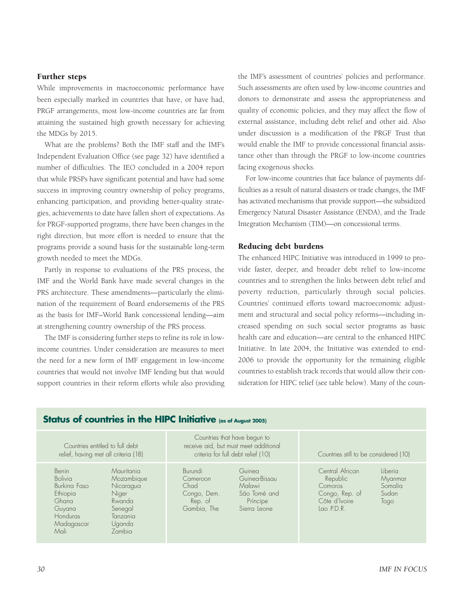#### Further steps

While improvements in macroeconomic performance have been especially marked in countries that have, or have had, PRGF arrangements, most low-income countries are far from attaining the sustained high growth necessary for achieving the MDGs by 2015.

What are the problems? Both the IMF staff and the IMF's Independent Evaluation Office (see page 32) have identified a number of difficulties. The IEO concluded in a 2004 report that while PRSPs have significant potential and have had some success in improving country ownership of policy programs, enhancing participation, and providing better-quality strategies, achievements to date have fallen short of expectations. As for PRGF-supported programs, there have been changes in the right direction, but more effort is needed to ensure that the programs provide a sound basis for the sustainable long-term growth needed to meet the MDGs.

Partly in response to evaluations of the PRS process, the IMF and the World Bank have made several changes in the PRS architecture. These amendments—particularly the elimination of the requirement of Board endorsements of the PRS as the basis for IMF–World Bank concessional lending—aim at strengthening country ownership of the PRS process.

The IMF is considering further steps to refine its role in lowincome countries. Under consideration are measures to meet the need for a new form of IMF engagement in low-income countries that would not involve IMF lending but that would support countries in their reform efforts while also providing the IMF's assessment of countries' policies and performance. Such assessments are often used by low-income countries and donors to demonstrate and assess the appropriateness and quality of economic policies, and they may affect the flow of external assistance, including debt relief and other aid. Also under discussion is a modification of the PRGF Trust that would enable the IMF to provide concessional financial assistance other than through the PRGF to low-income countries facing exogenous shocks.

For low-income countries that face balance of payments difficulties as a result of natural disasters or trade changes, the IMF has activated mechanisms that provide support—the subsidized Emergency Natural Disaster Assistance (ENDA), and the Trade Integration Mechanism (TIM)—on concessional terms.

#### Reducing debt burdens

The enhanced HIPC Initiative was introduced in 1999 to provide faster, deeper, and broader debt relief to low-income countries and to strengthen the links between debt relief and poverty reduction, particularly through social policies. Countries' continued efforts toward macroeconomic adjustment and structural and social policy reforms—including increased spending on such social sector programs as basic health care and education—are central to the enhanced HIPC Initiative. In late 2004, the Initiative was extended to end-2006 to provide the opportunity for the remaining eligible countries to establish track records that would allow their consideration for HIPC relief (see table below). Many of the coun-

### **Status of countries in the HIPC Initiative (as of August 2005)**

Countries that have begun to Countries entitled to full debt receive aid, but must meet additional relief, having met all criteria (18) criteria for full debt relief (10) Countries still to be considered (10) Benin Mauritania Burundi Guinea Central African Liberia Bolivia Mozambique Cameroon Guinea-Bissau Republic Myanmar Burkina Faso Nicaragua Chad Malawi Comoros Somalia Ethiopia Niger Congo, Dem. São Tomé and Congo, Rep. of Sudan Ghana Rwanda Rep. of Príncipe Côte d'lvoire Togo Guyana Senegal Gambia, The Sierra Leone Lao P.D.R. Honduras Tanzania Madagascar<br>Mali Zambia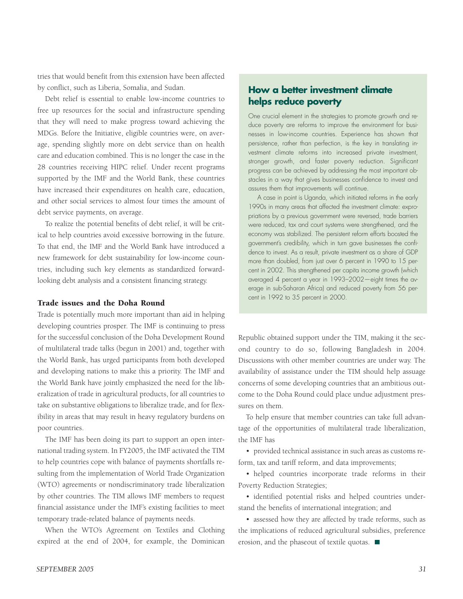tries that would benefit from this extension have been affected by conflict, such as Liberia, Somalia, and Sudan.

Debt relief is essential to enable low-income countries to free up resources for the social and infrastructure spending that they will need to make progress toward achieving the MDGs. Before the Initiative, eligible countries were, on average, spending slightly more on debt service than on health care and education combined. This is no longer the case in the 28 countries receiving HIPC relief. Under recent programs supported by the IMF and the World Bank, these countries have increased their expenditures on health care, education, and other social services to almost four times the amount of debt service payments, on average.

To realize the potential benefits of debt relief, it will be critical to help countries avoid excessive borrowing in the future. To that end, the IMF and the World Bank have introduced a new framework for debt sustainability for low-income countries, including such key elements as standardized forwardlooking debt analysis and a consistent financing strategy.

#### Trade issues and the Doha Round

Trade is potentially much more important than aid in helping developing countries prosper. The IMF is continuing to press for the successful conclusion of the Doha Development Round of multilateral trade talks (begun in 2001) and, together with the World Bank, has urged participants from both developed and developing nations to make this a priority. The IMF and the World Bank have jointly emphasized the need for the liberalization of trade in agricultural products, for all countries to take on substantive obligations to liberalize trade, and for flexibility in areas that may result in heavy regulatory burdens on poor countries.

The IMF has been doing its part to support an open international trading system. In FY2005, the IMF activated the TIM to help countries cope with balance of payments shortfalls resulting from the implementation of World Trade Organization (WTO) agreements or nondiscriminatory trade liberalization by other countries. The TIM allows IMF members to request financial assistance under the IMF's existing facilities to meet temporary trade-related balance of payments needs.

When the WTO's Agreement on Textiles and Clothing expired at the end of 2004, for example, the Dominican

## **How a better investment climate helps reduce poverty**

One crucial element in the strategies to promote growth and reduce poverty are reforms to improve the environment for businesses in low-income countries. Experience has shown that persistence, rather than perfection, is the key in translating investment climate reforms into increased private investment, stronger growth, and faster poverty reduction. Significant progress can be achieved by addressing the most important obstacles in a way that gives businesses confidence to invest and assures them that improvements will continue.

A case in point is Uganda, which initiated reforms in the early 1990s in many areas that affected the investment climate: expropriations by a previous government were reversed, trade barriers were reduced, tax and court systems were strengthened, and the economy was stabilized. The persistent reform efforts boosted the government's credibility, which in turn gave businesses the confidence to invest. As a result, private investment as a share of GDP more than doubled, from just over 6 percent in 1990 to 15 percent in 2002. This strengthened per capita income growth (which averaged 4 percent a year in 1993–2002—eight times the average in sub-Saharan Africa) and reduced poverty from 56 percent in 1992 to 35 percent in 2000.

Republic obtained support under the TIM, making it the second country to do so, following Bangladesh in 2004. Discussions with other member countries are under way. The availability of assistance under the TIM should help assuage concerns of some developing countries that an ambitious outcome to the Doha Round could place undue adjustment pressures on them.

To help ensure that member countries can take full advantage of the opportunities of multilateral trade liberalization, the IMF has

• provided technical assistance in such areas as customs reform, tax and tariff reform, and data improvements;

• helped countries incorporate trade reforms in their Poverty Reduction Strategies;

• identified potential risks and helped countries understand the benefits of international integration; and

• assessed how they are affected by trade reforms, such as the implications of reduced agricultural subsidies, preference erosion, and the phaseout of textile quotas.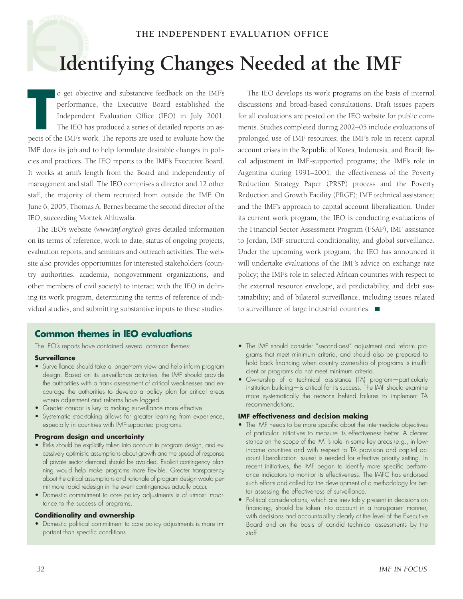#### **THE INDEPENDENT EVALUATION OFFICE**

## **Identifying Changes Needed at the IMF**

o get objective and substantive feedback on the IMF's performance, the Executive Board established the Independent Evaluation Office (IEO) in July 2001. The IEO has produced a series of detailed reports on aso get objective and substantive feedback on the IMF's performance, the Executive Board established the Independent Evaluation Office (IEO) in July 2001.<br>The IEO has produced a series of detailed reports on aspects of the I IMF does its job and to help formulate desirable changes in policies and practices. The IEO reports to the IMF's Executive Board. It works at arm's length from the Board and independently of management and staff. The IEO comprises a director and 12 other staff, the majority of them recruited from outside the IMF. On June 6, 2005, Thomas A. Bernes became the second director of the IEO, succeeding Montek Ahluwalia.

The IEO's website *(www.imf.org/ieo)* gives detailed information on its terms of reference, work to date, status of ongoing projects, evaluation reports, and seminars and outreach activities. The website also provides opportunities for interested stakeholders (country authorities, academia, nongovernment organizations, and other members of civil society) to interact with the IEO in defining its work program, determining the terms of reference of individual studies, and submitting substantive inputs to these studies.

The IEO develops its work programs on the basis of internal discussions and broad-based consultations. Draft issues papers for all evaluations are posted on the IEO website for public comments. Studies completed during 2002–05 include evaluations of prolonged use of IMF resources; the IMF's role in recent capital account crises in the Republic of Korea, Indonesia, and Brazil; fiscal adjustment in IMF-supported programs; the IMF's role in Argentina during 1991–2001; the effectiveness of the Poverty Reduction Strategy Paper (PRSP) process and the Poverty Reduction and Growth Facility (PRGF); IMF technical assistance; and the IMF's approach to capital account liberalization. Under its current work program, the IEO is conducting evaluations of the Financial Sector Assessment Program (FSAP), IMF assistance to Jordan, IMF structural conditionality, and global surveillance. Under the upcoming work program, the IEO has announced it will undertake evaluations of the IMF's advice on exchange rate policy; the IMF's role in selected African countries with respect to the external resource envelope, aid predictability, and debt sustainability; and of bilateral surveillance, including issues related to surveillance of large industrial countries.

### **Common themes in IEO evaluations**

The IEO's reports have contained several common themes:

#### **Surveillance**

- Surveillance should take a longer-term view and help inform program design. Based on its surveillance activities, the IMF should provide the authorities with a frank assessment of critical weaknesses and encourage the authorities to develop a policy plan for critical areas where adjustment and reforms have lagged.
- Greater candor is key to making surveillance more effective.
- Systematic stocktaking allows for greater learning from experience, especially in countries with IMF-supported programs.

#### **Program design and uncertainty**

- Risks should be explicitly taken into account in program design, and excessively optimistic assumptions about growth and the speed of response of private sector demand should be avoided. Explicit contingency planning would help make programs more flexible. Greater transparency about the critical assumptions and rationale of program design would permit more rapid redesign in the event contingencies actually occur.
- Domestic commitment to core policy adjustments is of utmost importance to the success of programs.

#### **Conditionality and ownership**

• Domestic political commitment to core policy adjustments is more important than specific conditions.

- The IMF should consider "second-best" adjustment and reform programs that meet minimum criteria, and should also be prepared to hold back financing when country ownership of programs is insufficient or programs do not meet minimum criteria.
- Ownership of a technical assistance (TA) program—particularly institution building—is critical for its success. The IMF should examine more systematically the reasons behind failures to implement TA recommendations.

#### **IMF effectiveness and decision making**

- The IMF needs to be more specific about the intermediate objectives of particular initiatives to measure its effectiveness better. A clearer stance on the scope of the IMF's role in some key areas (e.g., in lowincome countries and with respect to TA provision and capital account liberalization issues) is needed for effective priority setting. In recent initiatives, the IMF began to identify more specific performance indicators to monitor its effectiveness. The IMFC has endorsed such efforts and called for the development of a methodology for better assessing the effectiveness of surveillance.
- Political considerations, which are inevitably present in decisions on financing, should be taken into account in a transparent manner, with decisions and accountability clearly at the level of the Executive Board and on the basis of candid technical assessments by the staff.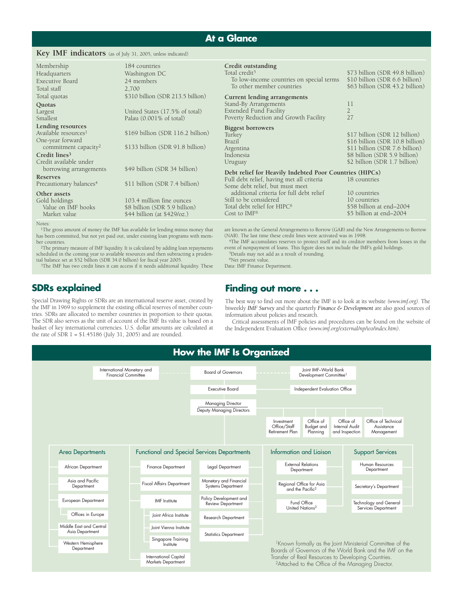## **At a Glance**

#### **Key IMF indicators** (as of July 31, 2005, unless indicated)

| Membership<br>Headquarters<br>Executive Board<br>Total staff                                                                                                                | 184 countries<br>Washington DC<br>24 members<br>2,700                                                     | Credit outstanding<br>Total credit <sup>5</sup><br>To low-income countries on special terms<br>To other member countries                | \$73 billion (SDR 49.8 billion)<br>\$10 billion (SDR 6.6 billion)<br>\$63 billion (SDR 43.2 billion)                                                                 |
|-----------------------------------------------------------------------------------------------------------------------------------------------------------------------------|-----------------------------------------------------------------------------------------------------------|-----------------------------------------------------------------------------------------------------------------------------------------|----------------------------------------------------------------------------------------------------------------------------------------------------------------------|
| Total quotas<br>Quotas<br>Largest<br>Smallest                                                                                                                               | \$310 billion (SDR 213.5 billion)<br>United States (17.5% of total)<br>Palau $(0.001\% \text{ of total})$ | Current lending arrangements<br>Stand-By Arrangements<br><b>Extended Fund Facility</b><br>Poverty Reduction and Growth Facility         | 11<br>$\overline{2}$<br>27                                                                                                                                           |
| <b>Lending resources</b><br>Available resources <sup>1</sup><br>One-year forward<br>commitment capacity <sup>2</sup><br>Credit lines <sup>3</sup><br>Credit available under | \$169 billion (SDR 116.2 billion)<br>\$133 billion (SDR 91.8 billion)                                     | Biggest borrowers<br>Turkey<br>Brazil<br>Argentina<br>Indonesia<br>Uruguay                                                              | \$17 billion (SDR 12 billion)<br>\$16 billion (SDR 10.8 billion)<br>\$11 billion (SDR 7.6 billion)<br>\$8 billion (SDR 5.9 billion)<br>\$2 billion (SDR 1.7 billion) |
| borrowing arrangements<br><b>Reserves</b><br>Precautionary balances <sup>4</sup>                                                                                            | \$49 billion (SDR 34 billion)<br>\$11 billion (SDR 7.4 billion)                                           | Debt relief for Heavily Indebted Poor Countries (HIPCs)<br>Full debt relief, having met all criteria<br>Some debt relief, but must meet | 18 countries                                                                                                                                                         |
| Other assets<br>Gold holdings<br>Value on IMF books<br>Market value                                                                                                         | 103.4 million fine ounces<br>\$8 billion (SDR 5.9 billion)<br>\$44 billion (at \$429/oz.)                 | additional criteria for full debt relief<br>Still to be considered<br>Total debt relief for HIPC <sup>6</sup><br>Cost to $IMF6$         | 10 countries<br>10 countries<br>\$58 billion at end-2004<br>\$5 billion at end-2004                                                                                  |
|                                                                                                                                                                             |                                                                                                           |                                                                                                                                         |                                                                                                                                                                      |

Note

<sup>1</sup>The gross amount of money the IMF has available for lending minus money that has been committed, but not yet paid out, under existing loan programs with member countries.

2The primary measure of IMF liquidity. It is calculated by adding loan repayments scheduled in the coming year to available resources and then subtracting a prudential balance set at \$52 billion (SDR 34.0 billion) for fiscal year 2005.

3The IMF has two credit lines it can access if it needs additional liquidity. These

## **SDRs explained**

Special Drawing Rights or SDRs are an international reserve asset, created by the IMF in 1969 to supplement the existing official reserves of member countries. SDRs are allocated to member countries in proportion to their quotas. The SDR also serves as the unit of account of the IMF. Its value is based on a basket of key international currencies. U.S. dollar amounts are calculated at the rate of  $SDR$  1 = \$1.45186 (July 31, 2005) and are rounded.

are known as the General Arrangements to Borrow (GAB) and the New Arrangements to Borrow (NAB). The last time these credit lines were activated was in 1998.

4The IMF accumulates reserves to protect itself and its creditor members from losses in the event of nonpayment of loans. This figure does not include the IMF's gold holdings. 5Details may not add as a result of rounding.

6Net present value.

Data: IMF Finance Department.

### **Finding out more . . .**

The best way to find out more about the IMF is to look at its website *(www.imf.org)*. The biweekly *IMF Survey* and the quarterly *Finance & Development* are also good sources of information about policies and research.

Critical assessments of IMF policies and procedures can be found on the website of the Independent Evaluation Office *(www.imf.org/external/np/ieo/index.htm)*.